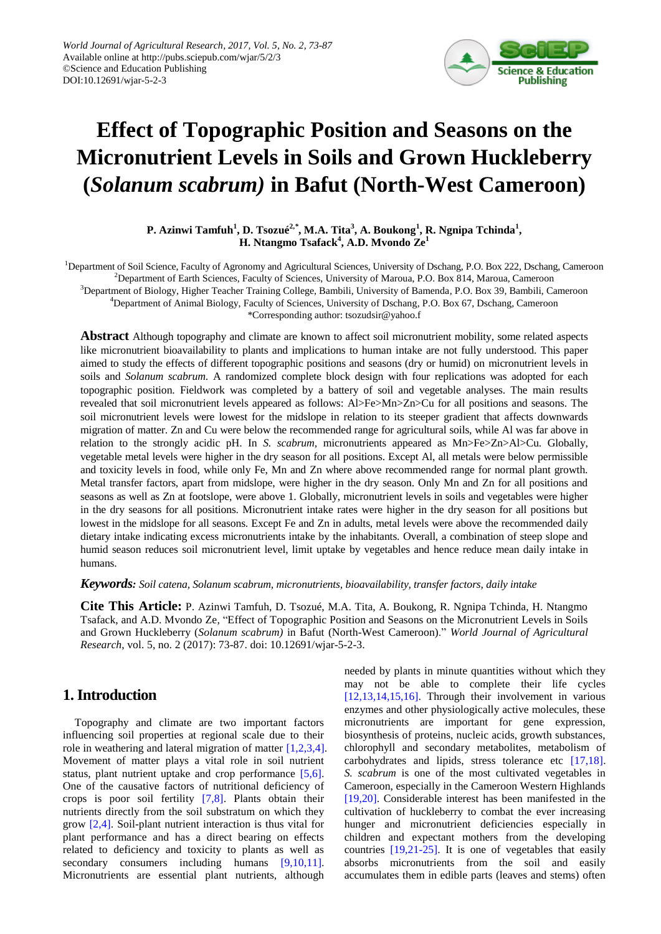

# **Effect of Topographic Position and Seasons on the Micronutrient Levels in Soils and Grown Huckleberry (***Solanum scabrum)* **in Bafut (North-West Cameroon)**

**P. Azinwi Tamfuh<sup>1</sup> , D. Tsozué2,***\** **, M.A. Tita<sup>3</sup> , A. Boukong<sup>1</sup> , R. Ngnipa Tchinda<sup>1</sup> , H. Ntangmo Tsafack<sup>4</sup> , A.D. Mvondo Ze<sup>1</sup>**

<sup>1</sup>Department of Soil Science, Faculty of Agronomy and Agricultural Sciences, University of Dschang, P.O. Box 222, Dschang, Cameroon <sup>2</sup>Department of Earth Sciences, Faculty of Sciences, University of Maroua, P.O. Box 814, Maroua, Cameroon <sup>3</sup>Department of Biology, Higher Teacher Training College, Bambili, University of Bamenda, P.O. Box 39, Bambili, Cameroon <sup>4</sup>Department of Animal Biology, Faculty of Sciences, University of Dschang, P.O. Box 67, Dschang, Cameroon \*Corresponding author: tsozudsir@yahoo.f

**Abstract** Although topography and climate are known to affect soil micronutrient mobility, some related aspects like micronutrient bioavailability to plants and implications to human intake are not fully understood. This paper aimed to study the effects of different topographic positions and seasons (dry or humid) on micronutrient levels in soils and *Solanum scabrum*. A randomized complete block design with four replications was adopted for each topographic position. Fieldwork was completed by a battery of soil and vegetable analyses. The main results revealed that soil micronutrient levels appeared as follows: Al>Fe>Mn>Zn>Cu for all positions and seasons. The soil micronutrient levels were lowest for the midslope in relation to its steeper gradient that affects downwards migration of matter. Zn and Cu were below the recommended range for agricultural soils, while Al was far above in relation to the strongly acidic pH. In *S. scabrum*, micronutrients appeared as Mn>Fe>Zn>Al>Cu. Globally, vegetable metal levels were higher in the dry season for all positions. Except Al, all metals were below permissible and toxicity levels in food, while only Fe, Mn and Zn where above recommended range for normal plant growth. Metal transfer factors, apart from midslope, were higher in the dry season. Only Mn and Zn for all positions and seasons as well as Zn at footslope, were above 1. Globally, micronutrient levels in soils and vegetables were higher in the dry seasons for all positions. Micronutrient intake rates were higher in the dry season for all positions but lowest in the midslope for all seasons. Except Fe and Zn in adults, metal levels were above the recommended daily dietary intake indicating excess micronutrients intake by the inhabitants. Overall, a combination of steep slope and humid season reduces soil micronutrient level, limit uptake by vegetables and hence reduce mean daily intake in humans.

*Keywords: Soil catena, Solanum scabrum, micronutrients, bioavailability, transfer factors, daily intake*

**Cite This Article:** P. Azinwi Tamfuh, D. Tsozué, M.A. Tita, A. Boukong, R. Ngnipa Tchinda, H. Ntangmo Tsafack, and A.D. Mvondo Ze, "Effect of Topographic Position and Seasons on the Micronutrient Levels in Soils and Grown Huckleberry (*Solanum scabrum)* in Bafut (North-West Cameroon)." *World Journal of Agricultural Research*, vol. 5, no. 2 (2017): 73-87. doi: 10.12691/wjar-5-2-3.

# **1. Introduction**

Topography and climate are two important factors influencing soil properties at regional scale due to their role in weathering and lateral migration of matter [\[1,2,3,4\].](#page-12-0) Movement of matter plays a vital role in soil nutrient status, plant nutrient uptake and crop performance [\[5,6\].](#page-12-1) One of the causative factors of nutritional deficiency of crops is poor soil fertility [\[7,8\].](#page-12-2) Plants obtain their nutrients directly from the soil substratum on which they grow [\[2,4\].](#page-12-3) Soil-plant nutrient interaction is thus vital for plant performance and has a direct bearing on effects related to deficiency and toxicity to plants as well as secondary consumers including humans [\[9,10,11\].](#page-13-0) Micronutrients are essential plant nutrients, although

needed by plants in minute quantities without which they may not be able to complete their life cycles [\[12,13,14,15,16\].](#page-13-1) Through their involvement in various enzymes and other physiologically active molecules, these micronutrients are important for gene expression, biosynthesis of proteins, nucleic acids, growth substances, chlorophyll and secondary metabolites, metabolism of carbohydrates and lipids, stress tolerance etc [\[17,18\].](#page-13-2) *S. scabrum* is one of the most cultivated vegetables in Cameroon, especially in the Cameroon Western Highlands [\[19,20\].](#page-13-3) Considerable interest has been manifested in the cultivation of huckleberry to combat the ever increasing hunger and micronutrient deficiencies especially in children and expectant mothers from the developing countries [\[19,21-25\].](#page-13-3) It is one of vegetables that easily absorbs micronutrients from the soil and easily accumulates them in edible parts (leaves and stems) often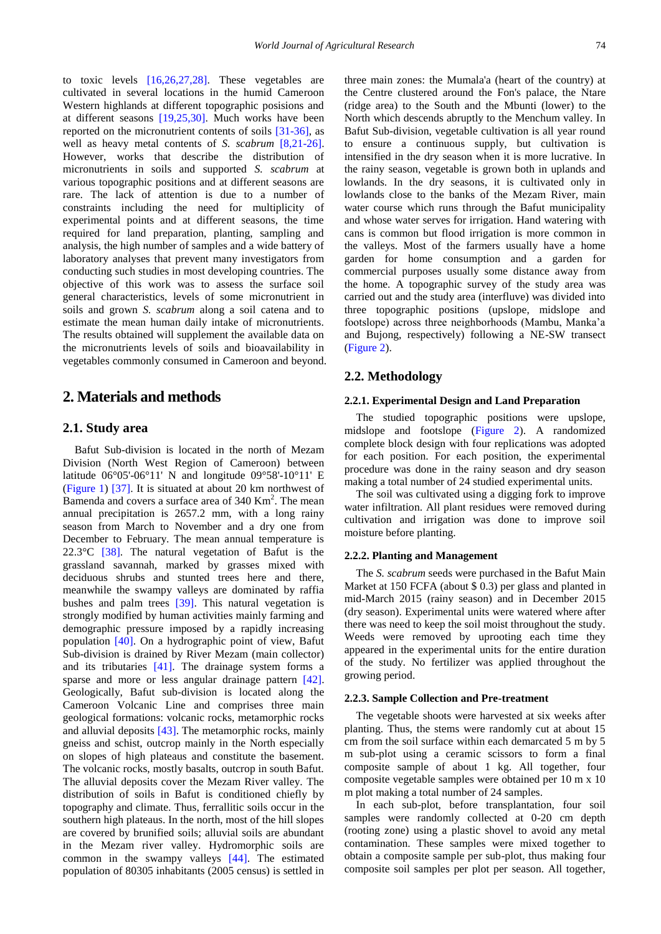to toxic levels [\[16,26,27,28\].](#page-13-4) These vegetables are cultivated in several locations in the humid Cameroon Western highlands at different topographic posisions and at different seasons [\[19,25,30\].](#page-13-3) Much works have been reported on the micronutrient contents of soils [\[31-36\],](#page-13-5) as well as heavy metal contents of *S. scabrum* [\[8,21-26\].](#page-13-6) However, works that describe the distribution of micronutrients in soils and supported *S. scabrum* at various topographic positions and at different seasons are rare. The lack of attention is due to a number of constraints including the need for multiplicity of experimental points and at different seasons, the time required for land preparation, planting, sampling and analysis, the high number of samples and a wide battery of laboratory analyses that prevent many investigators from conducting such studies in most developing countries. The objective of this work was to assess the surface soil general characteristics, levels of some micronutrient in soils and grown *S. scabrum* along a soil catena and to estimate the mean human daily intake of micronutrients. The results obtained will supplement the available data on the micronutrients levels of soils and bioavailability in vegetables commonly consumed in Cameroon and beyond.

### **2. Materials and methods**

#### **2.1. Study area**

Bafut Sub-division is located in the north of Mezam Division (North West Region of Cameroon) between latitude 06°05'-06°11' N and longitude 09°58'-10°11' E [\(Figure 1\)](#page-2-0) [\[37\].](#page-13-7) It is situated at about 20 km northwest of Bamenda and covers a surface area of 340 Km<sup>2</sup>. The mean annual precipitation is 2657.2 mm, with a long rainy season from March to November and a dry one from December to February. The mean annual temperature is 22.3°C [\[38\].](#page-13-8) The natural vegetation of Bafut is the grassland savannah, marked by grasses mixed with deciduous shrubs and stunted trees here and there, meanwhile the swampy valleys are dominated by raffia bushes and palm trees [\[39\].](#page-13-9) This natural vegetation is strongly modified by human activities mainly farming and demographic pressure imposed by a rapidly increasing population [\[40\].](#page-13-10) On a hydrographic point of view, Bafut Sub-division is drained by River Mezam (main collector) and its tributaries [\[41\].](#page-13-11) The drainage system forms a sparse and more or less angular drainage pattern [\[42\].](#page-13-12) Geologically, Bafut sub-division is located along the Cameroon Volcanic Line and comprises three main geological formations: volcanic rocks, metamorphic rocks and alluvial deposits [\[43\].](#page-13-13) The metamorphic rocks, mainly gneiss and schist, outcrop mainly in the North especially on slopes of high plateaus and constitute the basement. The volcanic rocks, mostly basalts, outcrop in south Bafut. The alluvial deposits cover the Mezam River valley. The distribution of soils in Bafut is conditioned chiefly by topography and climate. Thus, ferrallitic soils occur in the southern high plateaus. In the north, most of the hill slopes are covered by brunified soils; alluvial soils are abundant in the Mezam river valley. Hydromorphic soils are common in the swampy valleys [\[44\].](#page-13-14) The estimated population of 80305 inhabitants (2005 census) is settled in

three main zones: the Mumala'a (heart of the country) at the Centre clustered around the Fon's palace, the Ntare (ridge area) to the South and the Mbunti (lower) to the North which descends abruptly to the Menchum valley. In Bafut Sub-division, vegetable cultivation is all year round to ensure a continuous supply, but cultivation is intensified in the dry season when it is more lucrative. In the rainy season, vegetable is grown both in uplands and lowlands. In the dry seasons, it is cultivated only in lowlands close to the banks of the Mezam River, main water course which runs through the Bafut municipality and whose water serves for irrigation. Hand watering with cans is common but flood irrigation is more common in the valleys. Most of the farmers usually have a home garden for home consumption and a garden for commercial purposes usually some distance away from the home. A topographic survey of the study area was carried out and the study area (interfluve) was divided into three topographic positions (upslope, midslope and footslope) across three neighborhoods (Mambu, Manka'a and Bujong, respectively) following a NE-SW transect [\(Figure 2\)](#page-2-1).

### **2.2. Methodology**

#### **2.2.1. Experimental Design and Land Preparation**

The studied topographic positions were upslope, midslope and footslope [\(Figure 2\)](#page-2-1). A randomized complete block design with four replications was adopted for each position. For each position, the experimental procedure was done in the rainy season and dry season making a total number of 24 studied experimental units.

The soil was cultivated using a digging fork to improve water infiltration. All plant residues were removed during cultivation and irrigation was done to improve soil moisture before planting.

#### **2.2.2. Planting and Management**

The *S. scabrum* seeds were purchased in the Bafut Main Market at 150 FCFA (about \$ 0.3) per glass and planted in mid-March 2015 (rainy season) and in December 2015 (dry season). Experimental units were watered where after there was need to keep the soil moist throughout the study. Weeds were removed by uprooting each time they appeared in the experimental units for the entire duration of the study. No fertilizer was applied throughout the growing period.

#### **2.2.3. Sample Collection and Pre-treatment**

The vegetable shoots were harvested at six weeks after planting. Thus, the stems were randomly cut at about 15 cm from the soil surface within each demarcated 5 m by 5 m sub-plot using a ceramic scissors to form a final composite sample of about 1 kg. All together, four composite vegetable samples were obtained per 10 m x 10 m plot making a total number of 24 samples.

In each sub-plot, before transplantation, four soil samples were randomly collected at 0-20 cm depth (rooting zone) using a plastic shovel to avoid any metal contamination. These samples were mixed together to obtain a composite sample per sub-plot, thus making four composite soil samples per plot per season. All together,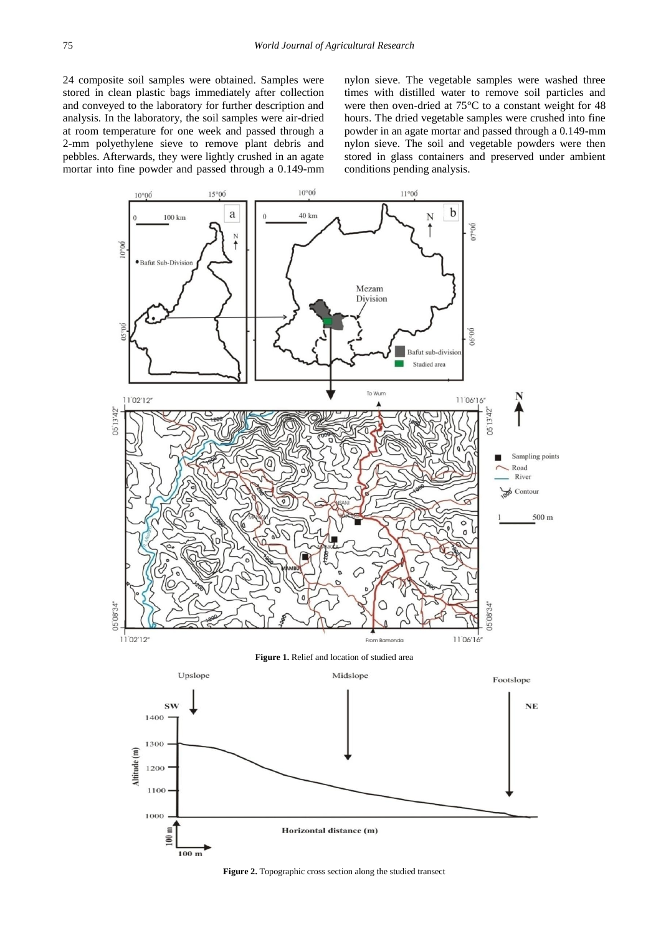24 composite soil samples were obtained. Samples were stored in clean plastic bags immediately after collection and conveyed to the laboratory for further description and analysis. In the laboratory, the soil samples were air-dried at room temperature for one week and passed through a 2-mm polyethylene sieve to remove plant debris and pebbles. Afterwards, they were lightly crushed in an agate mortar into fine powder and passed through a 0.149-mm nylon sieve. The vegetable samples were washed three times with distilled water to remove soil particles and were then oven-dried at 75°C to a constant weight for 48 hours. The dried vegetable samples were crushed into fine powder in an agate mortar and passed through a 0.149-mm nylon sieve. The soil and vegetable powders were then stored in glass containers and preserved under ambient conditions pending analysis.

<span id="page-2-0"></span>

<span id="page-2-1"></span>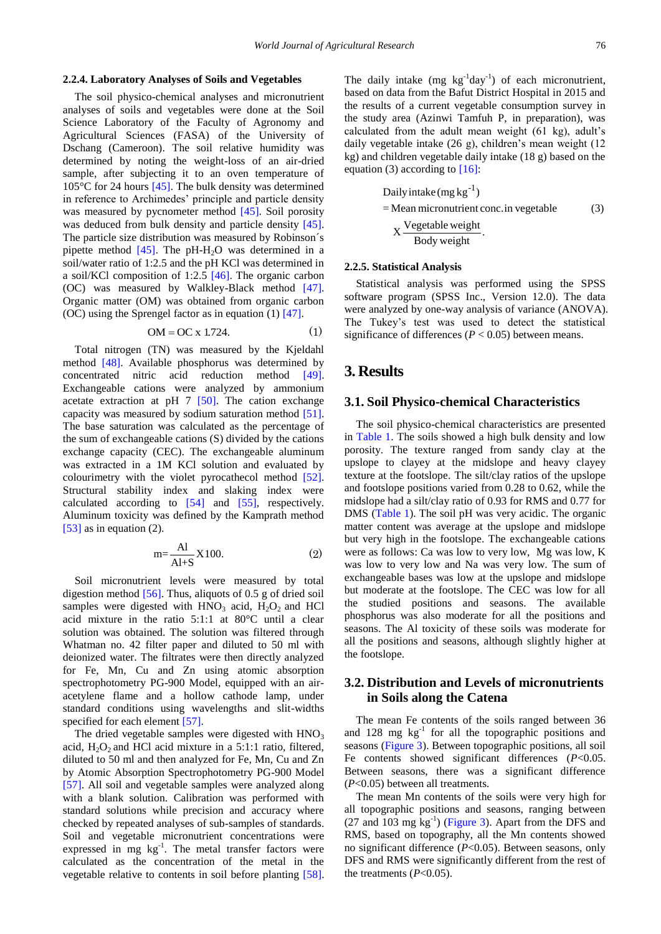#### **2.2.4. Laboratory Analyses of Soils and Vegetables**

The soil physico-chemical analyses and micronutrient analyses of soils and vegetables were done at the Soil Science Laboratory of the Faculty of Agronomy and Agricultural Sciences (FASA) of the University of Dschang (Cameroon). The soil relative humidity was determined by noting the weight-loss of an air-dried sample, after subjecting it to an oven temperature of 105°C for 24 hours [\[45\].](#page-13-15) The bulk density was determined in reference to Archimedes' principle and particle density was measured by pycnometer method [\[45\].](#page-13-15) Soil porosity was deduced from bulk density and particle density [\[45\].](#page-13-15) The particle size distribution was measured by Robinson´s pipette method  $[45]$ . The pH-H<sub>2</sub>O was determined in a soil/water ratio of 1:2.5 and the pH KCl was determined in a soil/KCl composition of 1:2.5 [\[46\].](#page-13-16) The organic carbon (OC) was measured by Walkley-Black method [\[47\].](#page-13-17) Organic matter (OM) was obtained from organic carbon (OC) using the Sprengel factor as in equation (1[\) \[47\].](#page-13-17)

$$
OM = OC \times 1.724. \tag{1}
$$

Total nitrogen (TN) was measured by the Kjeldahl method [\[48\].](#page-13-18) Available phosphorus was determined by concentrated nitric acid reduction method [\[49\].](#page-13-19) Exchangeable cations were analyzed by ammonium acetate extraction at pH  $7$  [\[50\].](#page-13-20) The cation exchange capacity was measured by sodium saturation method [\[51\].](#page-13-21) The base saturation was calculated as the percentage of the sum of exchangeable cations (S) divided by the cations exchange capacity (CEC). The exchangeable aluminum was extracted in a 1M KCl solution and evaluated by colourimetry with the violet pyrocathecol method [\[52\].](#page-13-22) Structural stability index and slaking index were calculated according to [\[54\]](#page-14-0) and [\[55\],](#page-14-1) respectively. Aluminum toxicity was defined by the Kamprath method [\[53\]](#page-13-23) as in equation (2).

$$
m = \frac{Al}{Al+S} X100.
$$
 (2)

Soil micronutrient levels were measured by total digestion method [\[56\].](#page-14-2) Thus, aliquots of 0.5 g of dried soil samples were digested with  $HNO<sub>3</sub>$  acid,  $H<sub>2</sub>O<sub>2</sub>$  and HCl acid mixture in the ratio 5:1:1 at 80°C until a clear solution was obtained. The solution was filtered through Whatman no. 42 filter paper and diluted to 50 ml with deionized water. The filtrates were then directly analyzed for Fe, Mn, Cu and Zn using atomic absorption spectrophotometry PG-900 Model, equipped with an airacetylene flame and a hollow cathode lamp, under standard conditions using wavelengths and slit-widths specified for each element [\[57\].](#page-14-3)

The dried vegetable samples were digested with  $HNO<sub>3</sub>$ acid,  $H_2O_2$  and HCl acid mixture in a 5:1:1 ratio, filtered, diluted to 50 ml and then analyzed for Fe, Mn, Cu and Zn by Atomic Absorption Spectrophotometry PG-900 Model [\[57\].](#page-14-3) All soil and vegetable samples were analyzed along with a blank solution. Calibration was performed with standard solutions while precision and accuracy where checked by repeated analyses of sub-samples of standards. Soil and vegetable micronutrient concentrations were expressed in mg kg<sup>-1</sup>. The metal transfer factors were calculated as the concentration of the metal in the vegetable relative to contents in soil before planting [\[58\].](#page-14-4)

The daily intake  $(mg kg^{-1}day^{-1})$  of each micronutrient, based on data from the Bafut District Hospital in 2015 and the results of a current vegetable consumption survey in the study area (Azinwi Tamfuh P, in preparation), was calculated from the adult mean weight (61 kg), adult's daily vegetable intake (26 g), children's mean weight (12 kg) and children vegetable daily intake (18 g) based on the equation (3) according to  $[16]$ :

Daily intake (mg kg<sup>-1</sup>)  
= Mean micronutrient conc.in vegetable  

$$
X \frac{Vegetable weight}{Body weight}.
$$
 (3)

#### **2.2.5. Statistical Analysis**

Statistical analysis was performed using the SPSS software program (SPSS Inc., Version 12.0). The data were analyzed by one-way analysis of variance (ANOVA). The Tukey's test was used to detect the statistical significance of differences ( $P < 0.05$ ) between means.

### **3. Results**

### **3.1. Soil Physico-chemical Characteristics**

The soil physico-chemical characteristics are presented in [Table 1.](#page-4-0) The soils showed a high bulk density and low porosity. The texture ranged from sandy clay at the upslope to clayey at the midslope and heavy clayey texture at the footslope. The silt/clay ratios of the upslope and footslope positions varied from 0.28 to 0.62, while the midslope had a silt/clay ratio of 0.93 for RMS and 0.77 for DMS [\(Table 1\)](#page-4-0). The soil pH was very acidic. The organic matter content was average at the upslope and midslope but very high in the footslope. The exchangeable cations were as follows: Ca was low to very low, Mg was low, K was low to very low and Na was very low. The sum of exchangeable bases was low at the upslope and midslope but moderate at the footslope. The CEC was low for all the studied positions and seasons. The available phosphorus was also moderate for all the positions and seasons. The Al toxicity of these soils was moderate for all the positions and seasons, although slightly higher at the footslope.

### **3.2. Distribution and Levels of micronutrients in Soils along the Catena**

The mean Fe contents of the soils ranged between 36 and 128 mg kg<sup>-1</sup> for all the topographic positions and seasons [\(Figure 3\)](#page-4-1). Between topographic positions, all soil Fe contents showed significant differences (*P*<0.05. Between seasons, there was a significant difference (*P*<0.05) between all treatments.

The mean Mn contents of the soils were very high for all topographic positions and seasons, ranging between  $(27 \text{ and } 103 \text{ mg kg}^{-1})$  [\(Figure 3\)](#page-4-1). Apart from the DFS and RMS, based on topography, all the Mn contents showed no significant difference (*P*<0.05). Between seasons, only DFS and RMS were significantly different from the rest of the treatments  $(P<0.05)$ .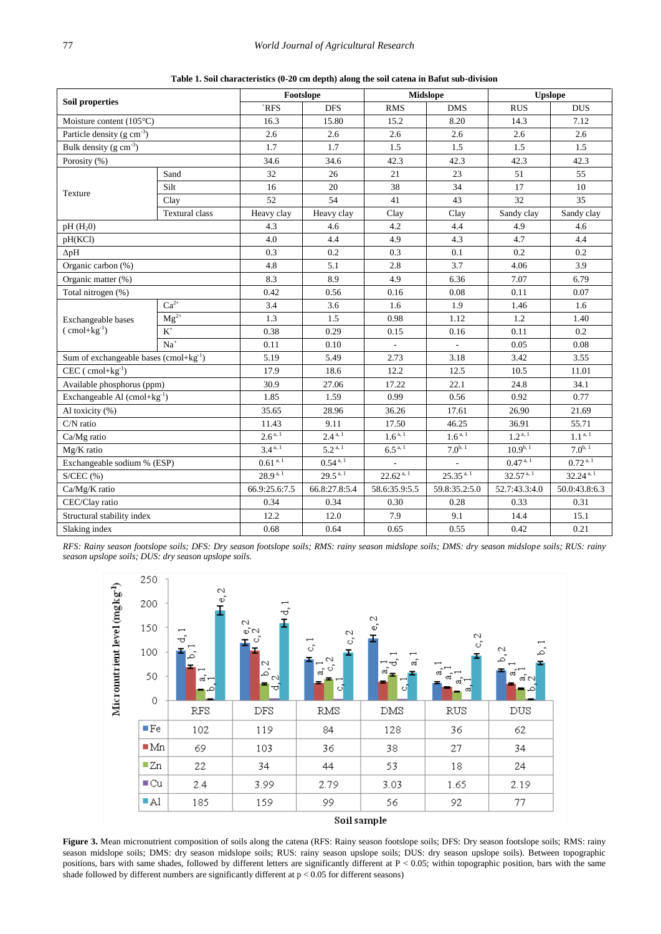<span id="page-4-0"></span>

| <b>Soil properties</b>                     |                       |               | Footslope              |                                 | <b>Midslope</b> | <b>Upslope</b>                 |                        |  |
|--------------------------------------------|-----------------------|---------------|------------------------|---------------------------------|-----------------|--------------------------------|------------------------|--|
|                                            |                       | `RFS          | <b>DFS</b>             | <b>RMS</b>                      | <b>DMS</b>      | <b>RUS</b>                     | <b>DUS</b>             |  |
| Moisture content $(105^{\circ}C)$          |                       | 16.3          | 15.80                  | 15.2                            | 8.20            | 14.3                           | 7.12                   |  |
| Particle density ( $g \text{ cm}^{-3}$ )   |                       | 2.6           | 2.6                    | 2.6                             | 2.6             | 2.6                            | 2.6                    |  |
| Bulk density $(g \text{ cm}^{-3})$         |                       | 1.7           | 1.7                    | 1.5                             | 1.5             | 1.5                            | 1.5                    |  |
| Porosity (%)                               |                       | 34.6          | 34.6                   | 42.3                            | 42.3            | 42.3                           | 42.3                   |  |
| Texture                                    | Sand                  | 32            | 26                     | 21                              | 23              | 51                             | 55                     |  |
|                                            | Silt                  | 16            | 20                     | 38                              | 34              | 17                             | 10                     |  |
|                                            | Clay                  | 52            | 54                     | 41                              | 43              | 32                             | 35                     |  |
|                                            | <b>Textural</b> class | Heavy clay    | Heavy clay             | Clay                            | Clay            | Sandy clay                     | Sandy clay             |  |
| pH(H <sub>2</sub> 0)                       |                       | 4.3           | 4.6                    | 4.2                             | 4.4             | 4.9                            | 4.6                    |  |
| pH(KCl)                                    |                       | 4.0           | 4.4                    | 4.9                             | 4.3             | 4.7                            | 4.4                    |  |
| $\Delta pH$                                |                       | 0.3           | 0.2                    | 0.3                             | 0.1             | 0.2                            | 0.2                    |  |
| Organic carbon (%)                         |                       | 4.8           | 5.1                    | 2.8                             | 3.7             | 4.06                           | 3.9                    |  |
| Organic matter (%)                         |                       | 8.3           | 8.9                    | 4.9                             | 6.36            | 7.07                           | 6.79                   |  |
| Total nitrogen (%)                         |                       | 0.42          | 0.56                   | 0.16                            | 0.08            | 0.11                           | 0.07                   |  |
|                                            | $Ca2+$                | 3.4           | 3.6                    | 1.6                             | 1.9             | 1.46                           | 1.6                    |  |
| Exchangeable bases                         | $Mg^{2+}$             | 1.3           | 1.5                    | 0.98                            | 1.12            | 1.2                            | 1.40                   |  |
| $\text{ (cmol+kg}^{-1})$                   | $K^+$                 | 0.38          | 0.29                   | 0.15                            | 0.16            | 0.11                           | 0.2                    |  |
|                                            | $Na+$                 | 0.11          | 0.10                   |                                 |                 | 0.05                           | 0.08                   |  |
| Sum of exchangeable bases $(cmol+kg^{-1})$ |                       | 5.19          | 5.49                   | 2.73                            | 3.18            | 3.42                           | 3.55                   |  |
| $CEC$ ( $cmol+kg^{-1}$ )                   |                       | 17.9          | 18.6                   | 12.2                            | 12.5            | 10.5                           | 11.01                  |  |
| Available phosphorus (ppm)                 |                       | 30.9          | 27.06                  | 17.22                           | 22.1            | 24.8                           | 34.1                   |  |
| Exchangeable Al $(cmol+kg^{-1})$           |                       | 1.85          | 1.59                   | 0.99                            | 0.56            | 0.92                           | 0.77                   |  |
| Al toxicity (%)                            |                       | 35.65         | 28.96                  | 36.26                           | 17.61           | 26.90                          | 21.69                  |  |
| C/N ratio                                  |                       | 11.43         | 9.11                   | 17.50                           | 46.25           | 36.91                          | 55.71                  |  |
| Ca/Mg ratio                                |                       | $2.6^{a, 1}$  | $2.4^{a, 1}$           | $1.6^{a,\overline{1}}$          | $1.6^{a, 1}$    | $1.2^{a, 1}$                   | $1.1^{a, 1}$           |  |
| Mg/K ratio                                 |                       | $3.4^{a,1}$   | $5.2^{\overline{a},1}$ | $6.5^{a, 1}$                    | $7.0^{b, 1}$    | $10.9^{b, 1}$<br>$0.47^{a, 1}$ | $7.0^{b.1}$            |  |
| Exchangeable sodium % (ESP)                |                       | $0.61^{a, 1}$ | $0.54$ <sup>a, 1</sup> |                                 |                 |                                | $0.72$ <sup>a, 1</sup> |  |
| $S/CEC$ $(% )$                             |                       | $28.9^{a, 1}$ | $29.5^{\text{a},1}$    | $25.35^{a,1}$<br>$22.62^{a, 1}$ |                 | 32.57 <sup>a, 1</sup>          | $32.24^{a, 1}$         |  |
| Ca/Mg/K ratio                              |                       | 66.9:25.6:7.5 | 66.8:27.8:5.4          | 58.6:35.9:5.5                   | 59.8:35.2:5.0   | 52.7:43.3:4.0                  | 50.0:43.8:6.3          |  |
| CEC/Clay ratio                             |                       | 0.34          | 0.34                   | 0.30                            | 0.28            | 0.33                           | 0.31                   |  |
| Structural stability index                 |                       | 12.2          | 12.0                   | 7.9                             | 9.1             | 14.4                           | 15.1                   |  |
| Slaking index                              |                       | 0.68          | 0.64                   | 0.65                            | 0.55            | 0.42                           | 0.21                   |  |

**Table 1. Soil characteristics (0-20 cm depth) along the soil catena in Bafut sub-division**

<span id="page-4-1"></span>*RFS: Rainy season footslope soils; DFS: Dry season footslope soils; RMS: rainy season midslope soils; DMS: dry season midslope soils; RUS: rainy season upslope soils; DUS: dry season upslope soils.*



Figure 3. Mean micronutrient composition of soils along the catena (RFS: Rainy season footslope soils; DFS: Dry season footslope soils; RMS: rainy season midslope soils; DMS: dry season midslope soils; RUS: rainy season upslope soils; DUS: dry season upslope soils). Between topographic positions, bars with same shades, followed by different letters are significantly different at P < 0.05; within topographic position, bars with the same shade followed by different numbers are significantly different at  $p < 0.05$  for different seasons)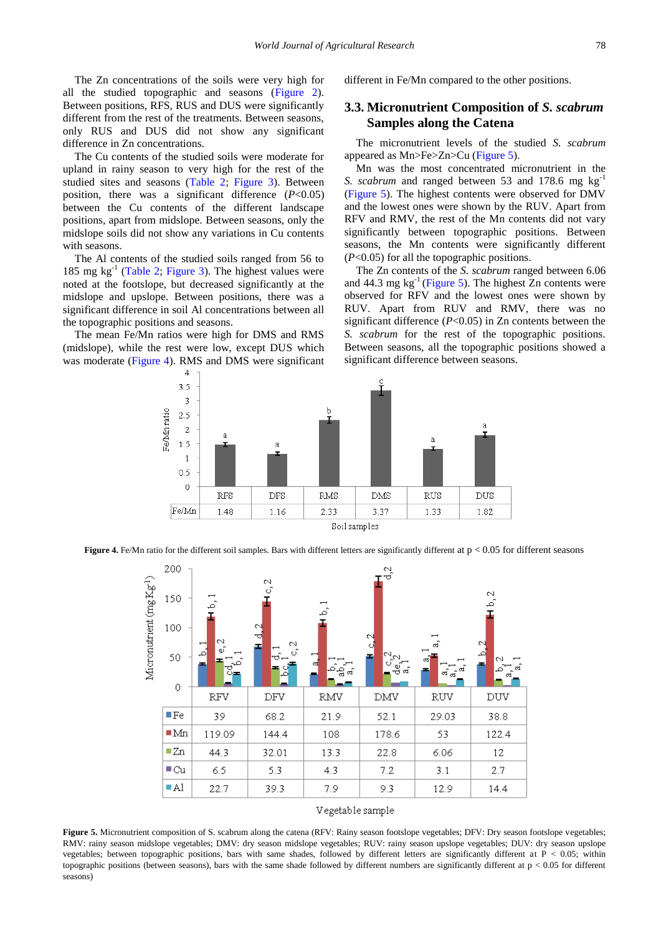The Zn concentrations of the soils were very high for all the studied topographic and seasons [\(Figure 2\)](#page-2-1). Between positions, RFS, RUS and DUS were significantly different from the rest of the treatments. Between seasons, only RUS and DUS did not show any significant difference in Zn concentrations.

The Cu contents of the studied soils were moderate for upland in rainy season to very high for the rest of the studied sites and seasons [\(Table 2;](#page-7-0) [Figure 3\)](#page-4-1). Between position, there was a significant difference (*P*<0.05) between the Cu contents of the different landscape positions, apart from midslope. Between seasons, only the midslope soils did not show any variations in Cu contents with seasons.

The Al contents of the studied soils ranged from 56 to 185 mg  $kg<sup>-1</sup>$  [\(Table 2;](#page-7-0) [Figure 3\)](#page-4-1). The highest values were noted at the footslope, but decreased significantly at the midslope and upslope. Between positions, there was a significant difference in soil Al concentrations between all the topographic positions and seasons.

<span id="page-5-0"></span>The mean Fe/Mn ratios were high for DMS and RMS (midslope), while the rest were low, except DUS which was moderate [\(Figure 4\)](#page-5-0). RMS and DMS were significant different in Fe/Mn compared to the other positions.

## **3.3. Micronutrient Composition of** *S. scabrum* **Samples along the Catena**

The micronutrient levels of the studied *S. scabrum* appeared as Mn>Fe>Zn>Cu [\(Figure 5\)](#page-5-1).

Mn was the most concentrated micronutrient in the *S. scabrum* and ranged between 53 and 178.6 mg kg<sup>-1</sup> [\(Figure 5\)](#page-5-1). The highest contents were observed for DMV and the lowest ones were shown by the RUV. Apart from RFV and RMV, the rest of the Mn contents did not vary significantly between topographic positions. Between seasons, the Mn contents were significantly different (*P*<0.05) for all the topographic positions.

The Zn contents of the *S. scabrum* ranged between 6.06 and  $44.3$  mg kg<sup>-1</sup> [\(Figure 5\)](#page-5-1). The highest Zn contents were observed for RFV and the lowest ones were shown by RUV. Apart from RUV and RMV, there was no significant difference (*P*<0.05) in Zn contents between the *S. scabrum* for the rest of the topographic positions. Between seasons, all the topographic positions showed a significant difference between seasons.



<span id="page-5-1"></span>**Figure 4.** Fe/Mn ratio for the different soil samples. Bars with different letters are significantly different at  $p < 0.05$  for different seasons



#### Vegetable sample

Figure 5. Micronutrient composition of S. scabrum along the catena (RFV: Rainy season footslope vegetables; DFV: Dry season footslope vegetables; RMV: rainy season midslope vegetables; DMV: dry season midslope vegetables; RUV: rainy season upslope vegetables; DUV: dry season upslope vegetables; between topographic positions, bars with same shades, followed by different letters are significantly different at P < 0.05; within topographic positions (between seasons), bars with the same shade followed by different numbers are significantly different at  $p < 0.05$  for different seasons)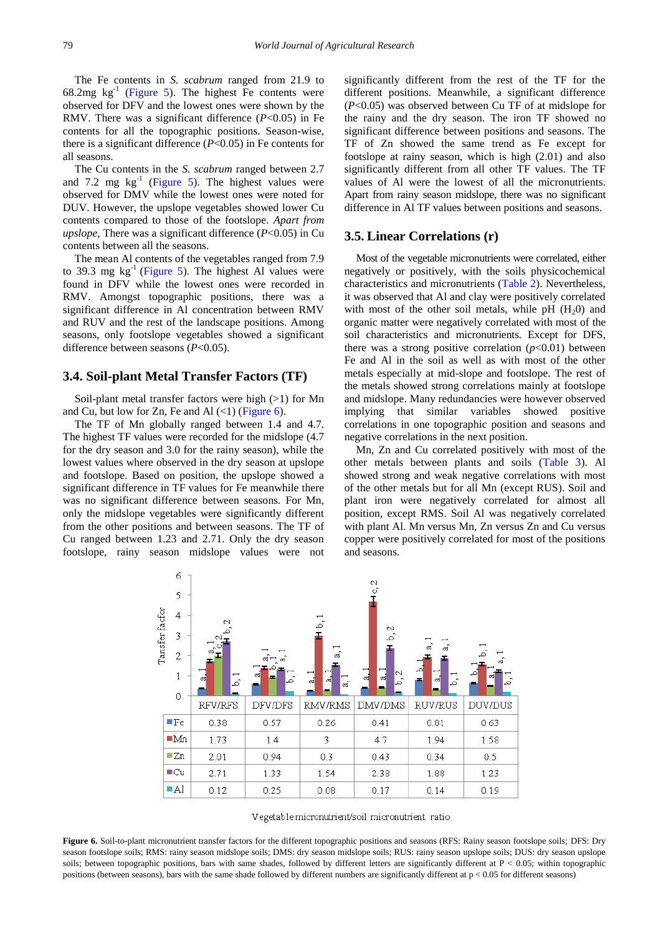The Fe contents in *S. scabrum* ranged from 21.9 to  $68.2mg$  kg<sup>-1</sup> [\(Figure 5\)](#page-5-1). The highest Fe contents were observed for DFV and the lowest ones were shown by the RMV. There was a significant difference (*P*<0.05) in Fe contents for all the topographic positions. Season-wise, there is a significant difference (*P*<0.05) in Fe contents for all seasons.

The Cu contents in the *S. scabrum* ranged between 2.7 and 7.2 mg  $\text{kg}^{-1}$  [\(Figure 5\)](#page-5-1). The highest values were observed for DMV while the lowest ones were noted for DUV. However, the upslope vegetables showed lower Cu contents compared to those of the footslope*. Apart from upslope,* There was a significant difference (*P*<0.05) in Cu contents between all the seasons.

The mean Al contents of the vegetables ranged from 7.9 to 39.3 mg  $kg^{-1}$  [\(Figure 5\)](#page-5-1). The highest Al values were found in DFV while the lowest ones were recorded in RMV. Amongst topographic positions, there was a significant difference in Al concentration between RMV and RUV and the rest of the landscape positions. Among seasons, only footslope vegetables showed a significant difference between seasons (*P*<0.05).

#### **3.4. Soil-plant Metal Transfer Factors (TF)**

Soil-plant metal transfer factors were high (>1) for Mn and Cu, but low for Zn, Fe and Al  $(\langle 1)$  [\(Figure 6\)](#page-6-0).

The TF of Mn globally ranged between 1.4 and 4.7. The highest TF values were recorded for the midslope (4.7 for the dry season and 3.0 for the rainy season), while the lowest values where observed in the dry season at upslope and footslope. Based on position, the upslope showed a significant difference in TF values for Fe meanwhile there was no significant difference between seasons. For Mn, only the midslope vegetables were significantly different from the other positions and between seasons. The TF of Cu ranged between 1.23 and 2.71. Only the dry season footslope, rainy season midslope values were not significantly different from the rest of the TF for the different positions. Meanwhile, a significant difference (*P*<0.05) was observed between Cu TF of at midslope for the rainy and the dry season. The iron TF showed no significant difference between positions and seasons. The TF of Zn showed the same trend as Fe except for footslope at rainy season, which is high (2.01) and also significantly different from all other TF values. The TF values of Al were the lowest of all the micronutrients. Apart from rainy season midslope, there was no significant difference in Al TF values between positions and seasons.

### **3.5. Linear Correlations (r)**

Most of the vegetable micronutrients were correlated, either negatively or positively, with the soils physicochemical characteristics and micronutrients [\(Table 2\)](#page-7-0). Nevertheless, it was observed that Al and clay were positively correlated with most of the other soil metals, while pH  $(H<sub>2</sub>0)$  and organic matter were negatively correlated with most of the soil characteristics and micronutrients. Except for DFS, there was a strong positive correlation  $(p<0.01)$  between Fe and Al in the soil as well as with most of the other metals especially at mid-slope and footslope. The rest of the metals showed strong correlations mainly at footslope and midslope. Many redundancies were however observed implying that similar variables showed positive correlations in one topographic position and seasons and negative correlations in the next position.

Mn, Zn and Cu correlated positively with most of the other metals between plants and soils [\(Table 3\)](#page-8-0). Al showed strong and weak negative correlations with most of the other metals but for all Mn (except RUS). Soil and plant iron were negatively correlated for almost all position, except RMS. Soil Al was negatively correlated with plant Al. Mn versus Mn, Zn versus Zn and Cu versus copper were positively correlated for most of the positions and seasons.

<span id="page-6-0"></span>

Vegetable micronutrient/soil micronutrient ratio

Figure 6. Soil-to-plant micronutrient transfer factors for the different topographic positions and seasons (RFS: Rainy season footslope soils; DFS: Dry season footslope soils; RMS: rainy season midslope soils; DMS: dry season midslope soils; RUS: rainy season upslope soils; DUS: dry season upslope soils; between topographic positions, bars with same shades, followed by different letters are significantly different at  $P < 0.05$ ; within topographic positions (between seasons), bars with the same shade followed by different numbers are significantly different at p < 0.05 for different seasons)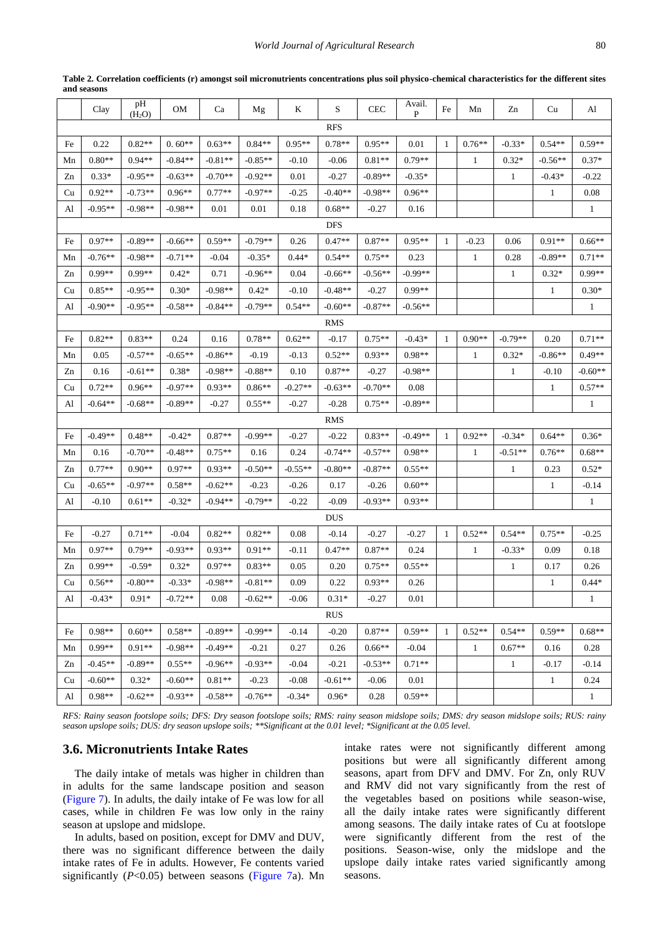<span id="page-7-0"></span>

|            | Clay       | pH<br>(H <sub>2</sub> O) | OM        | Ca        | Mg        | K         | S          | <b>CEC</b> | Avail.<br>P | Fe | Mn           | Zn           | Cu           | Al           |
|------------|------------|--------------------------|-----------|-----------|-----------|-----------|------------|------------|-------------|----|--------------|--------------|--------------|--------------|
| RFS        |            |                          |           |           |           |           |            |            |             |    |              |              |              |              |
| Fe         | 0.22       | $0.82**$                 | $0.60**$  | $0.63**$  | $0.84**$  | $0.95**$  | $0.78**$   | $0.95**$   | 0.01        | 1  | $0.76**$     | $-0.33*$     | $0.54**$     | $0.59**$     |
| Mn         | $0.80**$   | $0.94**$                 | $-0.84**$ | $-0.81**$ | $-0.85**$ | $-0.10$   | -0.06      | $0.81**$   | $0.79**$    |    | $\mathbf{1}$ | $0.32*$      | $-0.56**$    | $0.37*$      |
| Zn         | $0.33*$    | $-0.95**$                | $-0.63**$ | $-0.70**$ | $-0.92**$ | 0.01      | -0.27      | $-0.89**$  | $-0.35*$    |    |              | 1            | $-0.43*$     | $-0.22$      |
| Cu         | $0.92**$   | $-0.73**$                | $0.96**$  | $0.77**$  | $-0.97**$ | -0.25     | $-0.40**$  | $-0.98**$  | $0.96**$    |    |              |              | 1            | 0.08         |
| Al         | $-0.95**$  | $-0.98**$                | $-0.98**$ | 0.01      | 0.01      | 0.18      | $0.68**$   | $-0.27$    | 0.16        |    |              |              |              | $\mathbf{1}$ |
|            |            |                          |           |           |           |           | <b>DFS</b> |            |             |    |              |              |              |              |
| Fe         | $0.97**$   | $-0.89**$                | $-0.66**$ | $0.59**$  | $-0.79**$ | 0.26      | $0.47**$   | $0.87**$   | $0.95**$    | 1  | $-0.23$      | 0.06         | $0.91**$     | $0.66**$     |
| Mn         | $-0.76**$  | $-0.98**$                | $-0.71**$ | $-0.04$   | $-0.35*$  | $0.44*$   | $0.54**$   | $0.75**$   | 0.23        |    | $\mathbf{1}$ | 0.28         | $-0.89**$    | $0.71**$     |
| Zn         | $0.99**$   | $0.99**$                 | $0.42*$   | 0.71      | $-0.96**$ | 0.04      | $-0.66**$  | $-0.56**$  | $-0.99**$   |    |              | 1            | $0.32*$      | $0.99**$     |
| Cu         | $0.85**$   | $-0.95**$                | $0.30*$   | $-0.98**$ | $0.42*$   | $-0.10$   | $-0.48**$  | $-0.27$    | $0.99**$    |    |              |              | 1            | $0.30*$      |
| Al         | $-0.90**$  | $-0.95**$                | $-0.58**$ | $-0.84**$ | $-0.79**$ | $0.54**$  | $-0.60**$  | $-0.87**$  | $-0.56**$   |    |              |              |              | $\mathbf{1}$ |
| <b>RMS</b> |            |                          |           |           |           |           |            |            |             |    |              |              |              |              |
| Fe         | $0.82**$   | $0.83**$                 | 0.24      | 0.16      | $0.78**$  | $0.62**$  | -0.17      | $0.75**$   | $-0.43*$    | -1 | $0.90**$     | $-0.79**$    | 0.20         | $0.71**$     |
| Mn         | 0.05       | $-0.57**$                | $-0.65**$ | $-0.86**$ | $-0.19$   | -0.13     | $0.52**$   | $0.93**$   | $0.98**$    |    | $\mathbf{1}$ | $0.32*$      | $-0.86**$    | $0.49**$     |
| Zn         | 0.16       | $-0.61**$                | $0.38*$   | $-0.98**$ | $-0.88**$ | 0.10      | $0.87**$   | $-0.27$    | $-0.98**$   |    |              | $\mathbf{1}$ | $-0.10$      | $-0.60**$    |
| Cu         | $0.72**$   | $0.96**$                 | $-0.97**$ | $0.93**$  | $0.86**$  | $-0.27**$ | $-0.63**$  | $-0.70**$  | 0.08        |    |              |              | 1            | $0.57**$     |
| Al         | $-0.64**$  | $-0.68**$                | $-0.89**$ | $-0.27$   | $0.55**$  | $-0.27$   | $-0.28$    | $0.75**$   | $-0.89**$   |    |              |              |              | 1            |
|            |            |                          |           |           |           |           | RMS        |            |             |    |              |              |              |              |
| Fe         | $-0.49**$  | $0.48**$                 | $-0.42*$  | $0.87**$  | $-0.99**$ | $-0.27$   | $-0.22$    | $0.83**$   | $-0.49**$   | 1  | $0.92**$     | $-0.34*$     | $0.64**$     | $0.36*$      |
| Mn         | 0.16       | $-0.70**$                | $-0.48**$ | $0.75**$  | 0.16      | 0.24      | $-0.74**$  | $-0.57**$  | $0.98**$    |    | 1            | $-0.51**$    | $0.76**$     | $0.68**$     |
| Zn         | $0.77**$   | $0.90**$                 | $0.97**$  | $0.93**$  | $-0.50**$ | $-0.55**$ | $-0.80**$  | $-0.87**$  | $0.55**$    |    |              | 1            | 0.23         | $0.52*$      |
| Cu         | $-0.65**$  | $-0.97**$                | $0.58**$  | $-0.62**$ | $-0.23$   | $-0.26$   | 0.17       | $-0.26$    | $0.60**$    |    |              |              | 1            | $-0.14$      |
| Al         | $-0.10$    | $0.61**$                 | $-0.32*$  | $-0.94**$ | $-0.79**$ | $-0.22$   | $-0.09$    | $-0.93**$  | $0.93**$    |    |              |              |              | $\mathbf{1}$ |
|            |            |                          |           |           |           |           | <b>DUS</b> |            |             |    |              |              |              |              |
| Fe         | $-0.27$    | $0.71**$                 | -0.04     | $0.82**$  | $0.82**$  | 0.08      | -0.14      | $-0.27$    | $-0.27$     | 1  | $0.52**$     | $0.54**$     | $0.75**$     | $-0.25$      |
| Mn         | $0.97**$   | $0.79**$                 | $-0.93**$ | $0.93**$  | $0.91**$  | $-0.11$   | $0.47**$   | $0.87**$   | 0.24        |    | $\mathbf{1}$ | $-0.33*$     | 0.09         | 0.18         |
| Zn         | $0.99**$   | $-0.59*$                 | $0.32*$   | $0.97**$  | $0.83**$  | 0.05      | 0.20       | $0.75**$   | $0.55**$    |    |              | 1            | 0.17         | 0.26         |
| Cu         | $0.56**$   | $-0.80**$                | $-0.33*$  | $-0.98**$ | $-0.81**$ | 0.09      | 0.22       | $0.93**$   | 0.26        |    |              |              | 1            | $0.44*$      |
| Al         | $-0.43*$   | $0.91*$                  | $-0.72**$ | 0.08      | $-0.62**$ | $-0.06$   | $0.31*$    | $-0.27$    | 0.01        |    |              |              |              | $\mathbf{1}$ |
|            | <b>RUS</b> |                          |           |           |           |           |            |            |             |    |              |              |              |              |
| Fe         | $0.98**$   | $0.60**$                 | $0.58**$  | $-0.89**$ | $-0.99**$ | $-0.14$   | $-0.20$    | $0.87**$   | $0.59**$    | -1 | $0.52**$     | $0.54**$     | $0.59**$     | $0.68**$     |
| Mn         | $0.99**$   | $0.91**$                 | $-0.98**$ | $-0.49**$ | $-0.21$   | 0.27      | 0.26       | $0.66**$   | $-0.04$     |    | $\mathbf{1}$ | $0.67**$     | 0.16         | 0.28         |
| Zn         | $-0.45**$  | $-0.89**$                | $0.55**$  | $-0.96**$ | $-0.93**$ | $-0.04$   | $-0.21$    | $-0.53**$  | $0.71**$    |    |              | $\mathbf{1}$ | $-0.17$      | $-0.14$      |
| Cu         | $-0.60**$  | $0.32*$                  | $-0.60**$ | $0.81**$  | $-0.23$   | $-0.08$   | $-0.61**$  | $-0.06$    | 0.01        |    |              |              | $\mathbf{1}$ | 0.24         |
| Al         | $0.98**$   | $-0.62**$                | $-0.93**$ | $-0.58**$ | $-0.76**$ | $-0.34*$  | $0.96*$    | 0.28       | $0.59**$    |    |              |              |              | $\mathbf{1}$ |
|            |            |                          |           |           |           |           |            |            |             |    |              |              |              |              |

**Table 2. Correlation coefficients (r) amongst soil micronutrients concentrations plus soil physico-chemical characteristics for the different sites and seasons**

*RFS: Rainy season footslope soils; DFS: Dry season footslope soils; RMS: rainy season midslope soils; DMS: dry season midslope soils; RUS: rainy season upslope soils; DUS: dry season upslope soils; \*\*Significant at the 0.01 level; \*Significant at the 0.05 level.*

### **3.6. Micronutrients Intake Rates**

The daily intake of metals was higher in children than in adults for the same landscape position and season [\(Figure 7\)](#page-9-0). In adults, the daily intake of Fe was low for all cases, while in children Fe was low only in the rainy season at upslope and midslope.

In adults, based on position, except for DMV and DUV, there was no significant difference between the daily intake rates of Fe in adults. However, Fe contents varied significantly (*P*<0.05) between seasons [\(Figure 7a](#page-9-0)). Mn intake rates were not significantly different among positions but were all significantly different among seasons, apart from DFV and DMV. For Zn, only RUV and RMV did not vary significantly from the rest of the vegetables based on positions while season-wise, all the daily intake rates were significantly different among seasons. The daily intake rates of Cu at footslope were significantly different from the rest of the positions. Season-wise, only the midslope and the upslope daily intake rates varied significantly among seasons.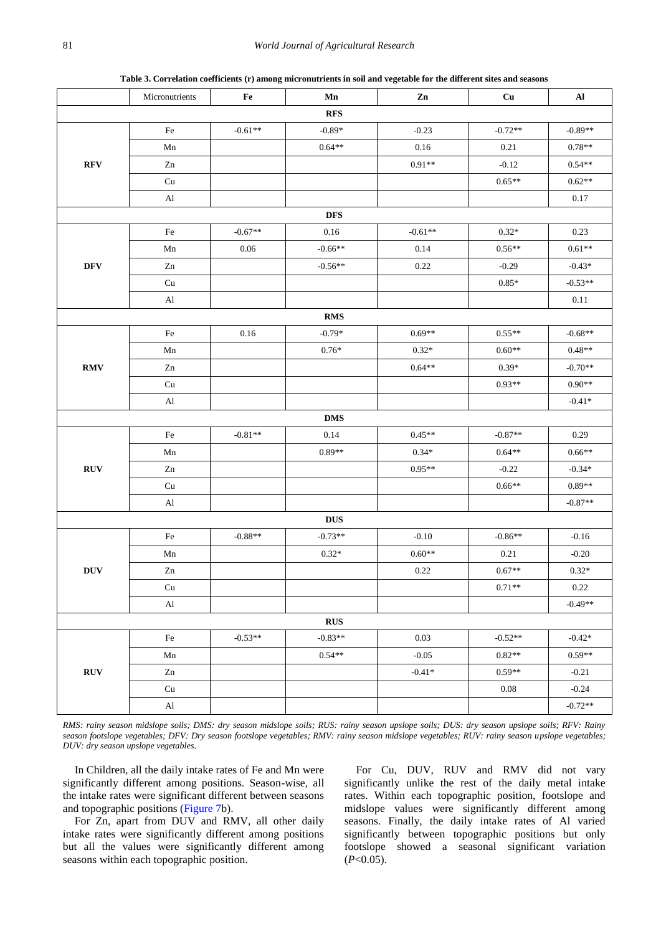**Table 3. Correlation coefficients (r) among micronutrients in soil and vegetable for the different sites and seasons**

<span id="page-8-0"></span>

|                           | Micronutrients             | Fe        | Mn         | $\mathbf{Zn}$ | Cu        | ${\bf Al}$ |  |  |  |  |  |  |
|---------------------------|----------------------------|-----------|------------|---------------|-----------|------------|--|--|--|--|--|--|
| <b>RFS</b>                |                            |           |            |               |           |            |  |  |  |  |  |  |
| <b>RFV</b>                | Fe                         | $-0.61**$ | $-0.89*$   | $-0.23$       | $-0.72**$ | $-0.89**$  |  |  |  |  |  |  |
|                           | Mn                         |           | $0.64**$   | 0.16          | 0.21      | $0.78**$   |  |  |  |  |  |  |
|                           | Zn                         |           |            | $0.91**$      | $-0.12$   | $0.54**$   |  |  |  |  |  |  |
|                           | Cu                         |           |            |               | $0.65**$  | $0.62**$   |  |  |  |  |  |  |
|                           | $\mathop{\rm Al}\nolimits$ |           |            |               |           | $0.17\,$   |  |  |  |  |  |  |
|                           | <b>DFS</b>                 |           |            |               |           |            |  |  |  |  |  |  |
|                           | $\rm Fe$                   | $-0.67**$ | $0.16\,$   | $-0.61**$     | $0.32*$   | 0.23       |  |  |  |  |  |  |
|                           | Mn                         | 0.06      | $-0.66**$  | 0.14          | $0.56**$  | $0.61**$   |  |  |  |  |  |  |
| $\bf{DFV}$                | Zn                         |           | $-0.56**$  | 0.22          | $-0.29$   | $-0.43*$   |  |  |  |  |  |  |
|                           | Cu                         |           |            |               | $0.85*$   | $-0.53**$  |  |  |  |  |  |  |
|                           | $\mathbf{Al}$              |           |            |               |           | 0.11       |  |  |  |  |  |  |
|                           |                            |           | <b>RMS</b> |               |           |            |  |  |  |  |  |  |
|                           | Fe                         | 0.16      | $-0.79*$   | $0.69**$      | $0.55**$  | $-0.68**$  |  |  |  |  |  |  |
|                           | Mn                         |           | $0.76*$    | $0.32*$       | $0.60**$  | $0.48**$   |  |  |  |  |  |  |
| <b>RMV</b>                | Zn                         |           |            | $0.64**$      | $0.39*$   | $-0.70**$  |  |  |  |  |  |  |
|                           | $\ensuremath{\mathrm{Cu}}$ |           |            |               | $0.93**$  | $0.90**$   |  |  |  |  |  |  |
|                           | $\rm Al$                   |           |            |               |           | $-0.41*$   |  |  |  |  |  |  |
| <b>DMS</b>                |                            |           |            |               |           |            |  |  |  |  |  |  |
|                           | $\rm Fe$                   | $-0.81**$ | $0.14\,$   | $0.45**$      | $-0.87**$ | 0.29       |  |  |  |  |  |  |
| ${\bf RUV}$               | ${\rm Mn}$                 |           | $0.89**$   | $0.34*$       | $0.64**$  | $0.66**$   |  |  |  |  |  |  |
|                           | Zn                         |           |            | $0.95**$      | $-0.22$   | $-0.34*$   |  |  |  |  |  |  |
|                           | Cu                         |           |            |               | $0.66**$  | $0.89**$   |  |  |  |  |  |  |
|                           | $\mathbf{A}$ l             |           |            |               |           | $-0.87**$  |  |  |  |  |  |  |
|                           |                            |           | <b>DUS</b> |               |           |            |  |  |  |  |  |  |
|                           | Fe                         | $-0.88**$ | $-0.73**$  | $-0.10$       | $-0.86**$ | $-0.16$    |  |  |  |  |  |  |
|                           | Mn                         |           | $0.32*$    | $0.60**$      | 0.21      | $-0.20$    |  |  |  |  |  |  |
| ${\bf D} {\bf U} {\bf V}$ | ${\rm Zn}$                 |           |            | 0.22          | $0.67**$  | $0.32*$    |  |  |  |  |  |  |
|                           | $\ensuremath{\mathrm{Cu}}$ |           |            |               | $0.71**$  | 0.22       |  |  |  |  |  |  |
|                           | $\mathbf{A}$ l             |           |            |               |           | $-0.49**$  |  |  |  |  |  |  |
| RUS                       |                            |           |            |               |           |            |  |  |  |  |  |  |
|                           | $\rm Fe$                   | $-0.53**$ | $-0.83**$  | 0.03          | $-0.52**$ | $-0.42*$   |  |  |  |  |  |  |
|                           | Mn                         |           | $0.54**$   | $-0.05$       | $0.82**$  | $0.59**$   |  |  |  |  |  |  |
| <b>RUV</b>                | Zn                         |           |            | $-0.41*$      | $0.59**$  | $-0.21$    |  |  |  |  |  |  |
|                           | Cu                         |           |            |               | $0.08\,$  | $-0.24$    |  |  |  |  |  |  |
|                           | $\mathbf{A}$ l             |           |            |               |           | $-0.72**$  |  |  |  |  |  |  |

*RMS: rainy season midslope soils; DMS: dry season midslope soils; RUS: rainy season upslope soils; DUS: dry season upslope soils; RFV: Rainy season footslope vegetables; DFV: Dry season footslope vegetables; RMV: rainy season midslope vegetables; RUV: rainy season upslope vegetables; DUV: dry season upslope vegetables.*

In Children, all the daily intake rates of Fe and Mn were significantly different among positions. Season-wise, all the intake rates were significant different between seasons and topographic positions [\(Figure 7b](#page-9-0)).

For Zn, apart from DUV and RMV, all other daily intake rates were significantly different among positions but all the values were significantly different among seasons within each topographic position.

For Cu, DUV, RUV and RMV did not vary significantly unlike the rest of the daily metal intake rates. Within each topographic position, footslope and midslope values were significantly different among seasons. Finally, the daily intake rates of Al varied significantly between topographic positions but only footslope showed a seasonal significant variation (*P*<0.05).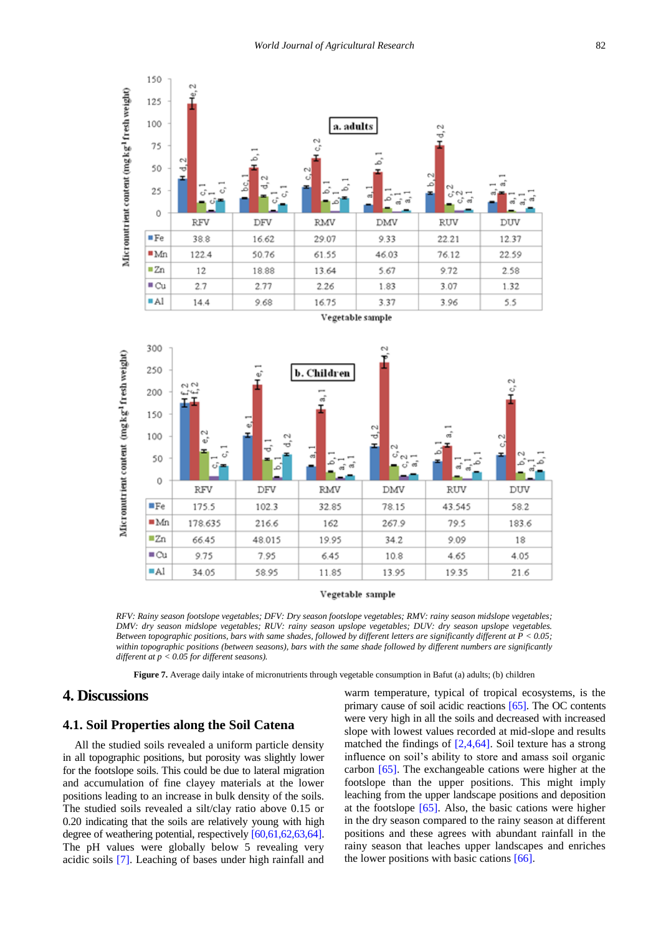<span id="page-9-0"></span>

Vegetable sample

*RFV: Rainy season footslope vegetables; DFV: Dry season footslope vegetables; RMV: rainy season midslope vegetables; DMV: dry season midslope vegetables; RUV: rainy season upslope vegetables; DUV: dry season upslope vegetables. Between topographic positions, bars with same shades, followed by different letters are significantly different at P < 0.05;*  within topographic positions (between seasons), bars with the same shade followed by different numbers are significantly *different at p < 0.05 for different seasons).*

**Figure 7.** Average daily intake of micronutrients through vegetable consumption in Bafut (a) adults; (b) children

# **4. Discussions**

### **4.1. Soil Properties along the Soil Catena**

All the studied soils revealed a uniform particle density in all topographic positions, but porosity was slightly lower for the footslope soils. This could be due to lateral migration and accumulation of fine clayey materials at the lower positions leading to an increase in bulk density of the soils. The studied soils revealed a silt/clay ratio above 0.15 or 0.20 indicating that the soils are relatively young with high degree of weathering potential, respectivel[y \[60,61,62,63,64\].](#page-14-5) The pH values were globally below 5 revealing very acidic soils [\[7\].](#page-12-2) Leaching of bases under high rainfall and

warm temperature, typical of tropical ecosystems, is the primary cause of soil acidic reactions [\[65\].](#page-14-6) The OC contents were very high in all the soils and decreased with increased slope with lowest values recorded at mid-slope and results matched the findings of [\[2,4,64\].](#page-12-3) Soil texture has a strong influence on soil's ability to store and amass soil organic carbon [\[65\].](#page-14-6) The exchangeable cations were higher at the footslope than the upper positions. This might imply leaching from the upper landscape positions and deposition at the footslope  $[65]$ . Also, the basic cations were higher in the dry season compared to the rainy season at different positions and these agrees with abundant rainfall in the rainy season that leaches upper landscapes and enriches the lower positions with basic cations [\[66\].](#page-14-7)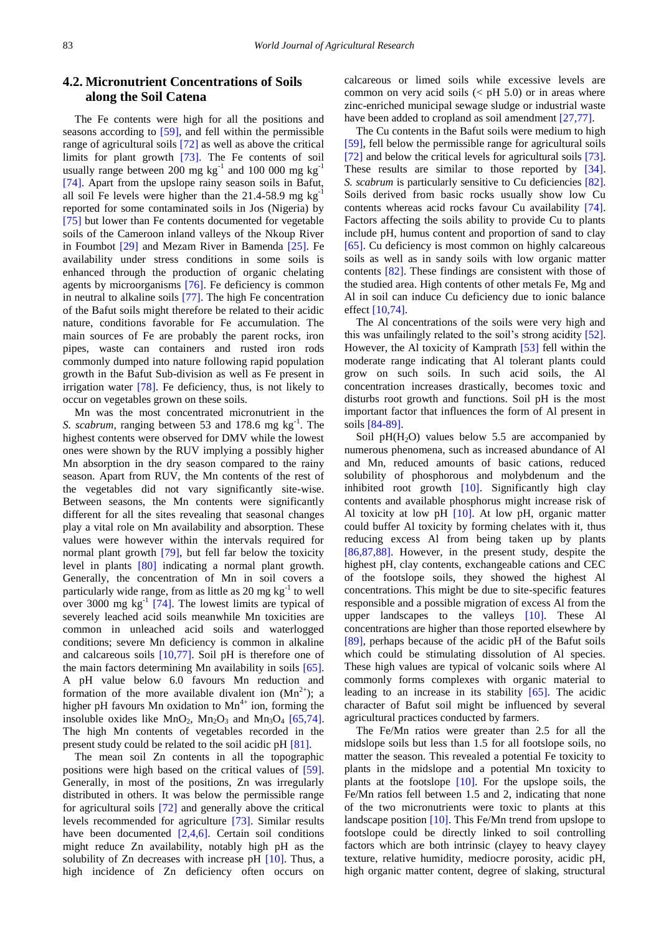# **4.2. Micronutrient Concentrations of Soils along the Soil Catena**

The Fe contents were high for all the positions and seasons according to [\[59\],](#page-14-8) and fell within the permissible range of agricultural soils [\[72\]](#page-14-9) as well as above the critical limits for plant growth [\[73\].](#page-14-10) The Fe contents of soil usually range between 200 mg  $kg^{-1}$  and 100 000 mg  $kg^{-1}$ [\[74\].](#page-14-11) Apart from the upslope rainy season soils in Bafut, all soil Fe levels were higher than the  $21.4-58.9$  mg kg<sup>-1</sup> reported for some contaminated soils in Jos (Nigeria) by [\[75\]](#page-14-12) but lower than Fe contents documented for vegetable soils of the Cameroon inland valleys of the Nkoup River in Foumbot [\[29\]](#page-13-24) and Mezam River in Bamenda [\[25\].](#page-13-25) Fe availability under stress conditions in some soils is enhanced through the production of organic chelating agents by microorganisms [\[76\].](#page-14-13) Fe deficiency is common in neutral to alkaline soils [\[77\].](#page-14-14) The high Fe concentration of the Bafut soils might therefore be related to their acidic nature, conditions favorable for Fe accumulation. The main sources of Fe are probably the parent rocks, iron pipes, waste can containers and rusted iron rods commonly dumped into nature following rapid population growth in the Bafut Sub-division as well as Fe present in irrigation water [\[78\].](#page-14-15) Fe deficiency, thus, is not likely to occur on vegetables grown on these soils.

Mn was the most concentrated micronutrient in the S. scabrum, ranging between 53 and 178.6 mg kg<sup>-1</sup>. The highest contents were observed for DMV while the lowest ones were shown by the RUV implying a possibly higher Mn absorption in the dry season compared to the rainy season. Apart from RUV, the Mn contents of the rest of the vegetables did not vary significantly site-wise. Between seasons, the Mn contents were significantly different for all the sites revealing that seasonal changes play a vital role on Mn availability and absorption. These values were however within the intervals required for normal plant growth [\[79\],](#page-14-16) but fell far below the toxicity level in plants [\[80\]](#page-14-17) indicating a normal plant growth. Generally, the concentration of Mn in soil covers a particularly wide range, from as little as  $20 \text{ mg kg}^{-1}$  to well over 3000 mg  $kg^{-1}$  [\[74\].](#page-14-11) The lowest limits are typical of severely leached acid soils meanwhile Mn toxicities are common in unleached acid soils and waterlogged conditions; severe Mn deficiency is common in alkaline and calcareous soils [\[10,77\].](#page-13-26) Soil pH is therefore one of the main factors determining Mn availability in soils [\[65\].](#page-14-6) A pH value below 6.0 favours Mn reduction and formation of the more available divalent ion  $(Mn^{2+})$ ; a higher pH favours Mn oxidation to  $Mn^{4+}$  ion, forming the insoluble oxides like  $MnO_2$ ,  $Mn_2O_3$  and  $Mn_3O_4$  [\[65,74\].](#page-14-6) The high Mn contents of vegetables recorded in the present study could be related to the soil acidic pH [\[81\].](#page-14-18)

The mean soil Zn contents in all the topographic positions were high based on the critical values of [\[59\].](#page-14-8) Generally, in most of the positions, Zn was irregularly distributed in others. It was below the permissible range for agricultural soils [\[72\]](#page-14-9) and generally above the critical levels recommended for agriculture [\[73\].](#page-14-10) Similar results have been documented  $[2,4,6]$ . Certain soil conditions might reduce Zn availability, notably high pH as the solubility of Zn decreases with increase pH [\[10\].](#page-13-26) Thus, a high incidence of Zn deficiency often occurs on

calcareous or limed soils while excessive levels are common on very acid soils  $(<$  pH 5.0) or in areas where zinc-enriched municipal sewage sludge or industrial waste have been added to cropland as soil amendment [\[27,77\].](#page-13-27)

The Cu contents in the Bafut soils were medium to high [\[59\],](#page-14-8) fell below the permissible range for agricultural soils [\[72\]](#page-14-9) and below the critical levels for agricultural soils [\[73\].](#page-14-10)  These results are similar to those reported by [\[34\].](#page-13-28) *S. scabrum* is particularly sensitive to Cu deficiencies [82]. Soils derived from basic rocks usually show low Cu contents whereas acid rocks favour Cu availability [\[74\].](#page-14-11) Factors affecting the soils ability to provide Cu to plants include pH, humus content and proportion of sand to clay [\[65\].](#page-14-6) Cu deficiency is most common on highly calcareous soils as well as in sandy soils with low organic matter contents [\[82\].](#page-14-19) These findings are consistent with those of the studied area. High contents of other metals Fe, Mg and Al in soil can induce Cu deficiency due to ionic balance effect [\[10,74\].](#page-13-26)

The Al concentrations of the soils were very high and this was unfailingly related to the soil's strong acidity [\[52\].](#page-13-22)  However, the Al toxicity of Kamprath [\[53\]](#page-13-23) fell within the moderate range indicating that Al tolerant plants could grow on such soils. In such acid soils, the Al concentration increases drastically, becomes toxic and disturbs root growth and functions. Soil pH is the most important factor that influences the form of Al present in soils [\[84-89\].](#page-14-20)

Soil  $pH(H<sub>2</sub>O)$  values below 5.5 are accompanied by numerous phenomena, such as increased abundance of Al and Mn, reduced amounts of basic cations, reduced solubility of phosphorous and molybdenum and the inhibited root growth [\[10\].](#page-13-26) Significantly high clay contents and available phosphorus might increase risk of Al toxicity at low pH [\[10\].](#page-13-26) At low pH, organic matter could buffer Al toxicity by forming chelates with it, thus reducing excess Al from being taken up by plants [\[86,87,88\].](#page-14-21) However, in the present study, despite the highest pH, clay contents, exchangeable cations and CEC of the footslope soils, they showed the highest Al concentrations. This might be due to site-specific features responsible and a possible migration of excess Al from the upper landscapes to the valleys [\[10\].](#page-13-26) These Al concentrations are higher than those reported elsewhere by [\[89\],](#page-14-22) perhaps because of the acidic pH of the Bafut soils which could be stimulating dissolution of Al species. These high values are typical of volcanic soils where Al commonly forms complexes with organic material to leading to an increase in its stability [\[65\].](#page-14-6) The acidic character of Bafut soil might be influenced by several agricultural practices conducted by farmers.

The Fe/Mn ratios were greater than 2.5 for all the midslope soils but less than 1.5 for all footslope soils, no matter the season. This revealed a potential Fe toxicity to plants in the midslope and a potential Mn toxicity to plants at the footslope [\[10\].](#page-13-26) For the upslope soils, the Fe/Mn ratios fell between 1.5 and 2, indicating that none of the two micronutrients were toxic to plants at this landscape position [\[10\].](#page-13-26) This Fe/Mn trend from upslope to footslope could be directly linked to soil controlling factors which are both intrinsic (clayey to heavy clayey texture, relative humidity, mediocre porosity, acidic pH, high organic matter content, degree of slaking, structural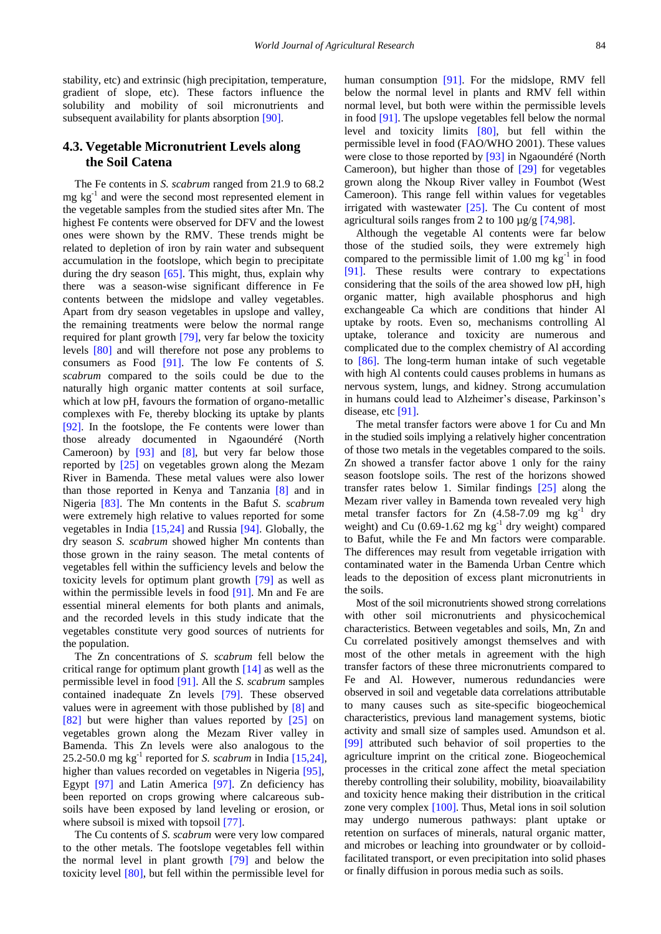stability, etc) and extrinsic (high precipitation, temperature, gradient of slope, etc). These factors influence the solubility and mobility of soil micronutrients and subsequent availability for plants absorption [\[90\].](#page-14-23)

### **4.3. Vegetable Micronutrient Levels along the Soil Catena**

The Fe contents in *S. scabrum* ranged from 21.9 to 68.2 mg kg -1 and were the second most represented element in the vegetable samples from the studied sites after Mn. The highest Fe contents were observed for DFV and the lowest ones were shown by the RMV. These trends might be related to depletion of iron by rain water and subsequent accumulation in the footslope, which begin to precipitate during the dry season  $[65]$ . This might, thus, explain why there was a season-wise significant difference in Fe contents between the midslope and valley vegetables. Apart from dry season vegetables in upslope and valley, the remaining treatments were below the normal range required for plant growth [\[79\],](#page-14-16) very far below the toxicity levels [\[80\]](#page-14-17) and will therefore not pose any problems to consumers as Food [\[91\].](#page-14-24) The low Fe contents of *S. scabrum* compared to the soils could be due to the naturally high organic matter contents at soil surface, which at low pH, favours the formation of organo-metallic complexes with Fe, thereby blocking its uptake by plants [\[92\].](#page-14-25) In the footslope, the Fe contents were lower than those already documented in Ngaoundéré (North Cameroon) by [\[93\]](#page-14-26) and [\[8\],](#page-13-6) but very far below those reported by [\[25\]](#page-13-25) on vegetables grown along the Mezam River in Bamenda. These metal values were also lower than those reported in Kenya and Tanzania [\[8\]](#page-13-6) and in Nigeria [\[83\].](#page-14-27) The Mn contents in the Bafut *S. scabrum* were extremely high relative to values reported for some vegetables in India [\[15,24\]](#page-13-29) and Russia [\[94\].](#page-14-28) Globally, the dry season *S. scabrum* showed higher Mn contents than those grown in the rainy season. The metal contents of vegetables fell within the sufficiency levels and below the toxicity levels for optimum plant growth [\[79\]](#page-14-16) as well as within the permissible levels in food [\[91\].](#page-14-24) Mn and Fe are essential mineral elements for both plants and animals, and the recorded levels in this study indicate that the vegetables constitute very good sources of nutrients for the population.

The Zn concentrations of *S. scabrum* fell below the critical range for optimum plant growth [\[14\]](#page-13-30) as well as the permissible level in food [\[91\].](#page-14-24) All the *S. scabrum* samples contained inadequate Zn levels [\[79\].](#page-14-16) These observed values were in agreement with those published by [\[8\]](#page-13-6) and [\[82\]](#page-14-19) but were higher than values reported by [\[25\]](#page-13-25) on vegetables grown along the Mezam River valley in Bamenda. This Zn levels were also analogous to the 25.2-50.0 mg  $kg^{-1}$  reported for *S. scabrum* in India [\[15,24\],](#page-13-29) higher than values recorded on vegetables in Nigeria [\[95\],](#page-14-29) Egypt [\[97\]](#page-14-30) and Latin America [\[97\].](#page-14-30) Zn deficiency has been reported on crops growing where calcareous subsoils have been exposed by land leveling or erosion, or where subsoil is mixed with topsoil [\[77\].](#page-14-14)

The Cu contents of *S. scabrum* were very low compared to the other metals. The footslope vegetables fell within the normal level in plant growth [\[79\]](#page-14-16) and below the toxicity level [\[80\],](#page-14-17) but fell within the permissible level for human consumption [\[91\].](#page-14-24) For the midslope, RMV fell below the normal level in plants and RMV fell within normal level, but both were within the permissible levels in food [\[91\].](#page-14-24) The upslope vegetables fell below the normal level and toxicity limits [\[80\],](#page-14-17) but fell within the permissible level in food (FAO/WHO 2001). These values were close to those reported by [\[93\]](#page-14-26) in Ngaoundéré (North Cameroon), but higher than those of [\[29\]](#page-13-24) for vegetables grown along the Nkoup River valley in Foumbot (West Cameroon). This range fell within values for vegetables irrigated with wastewater  $[25]$ . The Cu content of most agricultural soils ranges from 2 to 100  $\mu$ g/g [\[74,98\].](#page-14-11)

Although the vegetable Al contents were far below those of the studied soils, they were extremely high compared to the permissible limit of  $1.00 \text{ mg kg}^{-1}$  in food [\[91\].](#page-14-24) These results were contrary to expectations considering that the soils of the area showed low pH, high organic matter, high available phosphorus and high exchangeable Ca which are conditions that hinder Al uptake by roots. Even so, mechanisms controlling Al uptake, tolerance and toxicity are numerous and complicated due to the complex chemistry of Al according to [\[86\].](#page-14-21) The long-term human intake of such vegetable with high Al contents could causes problems in humans as nervous system, lungs, and kidney. Strong accumulation in humans could lead to Alzheimer's disease, Parkinson's disease, etc [\[91\].](#page-14-24)

The metal transfer factors were above 1 for Cu and Mn in the studied soils implying a relatively higher concentration of those two metals in the vegetables compared to the soils. Zn showed a transfer factor above 1 only for the rainy season footslope soils. The rest of the horizons showed transfer rates below 1. Similar findings [\[25\]](#page-13-25) along the Mezam river valley in Bamenda town revealed very high metal transfer factors for Zn  $(4.58-7.09$  mg  $\text{kg}^{-1}$  dry weight) and Cu  $(0.69-1.62 \text{ mg kg}^{-1} \text{ dry weight})$  compared to Bafut, while the Fe and Mn factors were comparable. The differences may result from vegetable irrigation with contaminated water in the Bamenda Urban Centre which leads to the deposition of excess plant micronutrients in the soils.

Most of the soil micronutrients showed strong correlations with other soil micronutrients and physicochemical characteristics. Between vegetables and soils, Mn, Zn and Cu correlated positively amongst themselves and with most of the other metals in agreement with the high transfer factors of these three micronutrients compared to Fe and Al. However, numerous redundancies were observed in soil and vegetable data correlations attributable to many causes such as site-specific biogeochemical characteristics, previous land management systems, biotic activity and small size of samples used. Amundson et al*.* [\[99\]](#page-14-31) attributed such behavior of soil properties to the agriculture imprint on the critical zone. Biogeochemical processes in the critical zone affect the metal speciation thereby controlling their solubility, mobility, bioavailability and toxicity hence making their distribution in the critical zone very complex [\[100\].](#page-14-32) Thus, Metal ions in soil solution may undergo numerous pathways: plant uptake or retention on surfaces of minerals, natural organic matter, and microbes or leaching into groundwater or by colloidfacilitated transport, or even precipitation into solid phases or finally diffusion in porous media such as soils.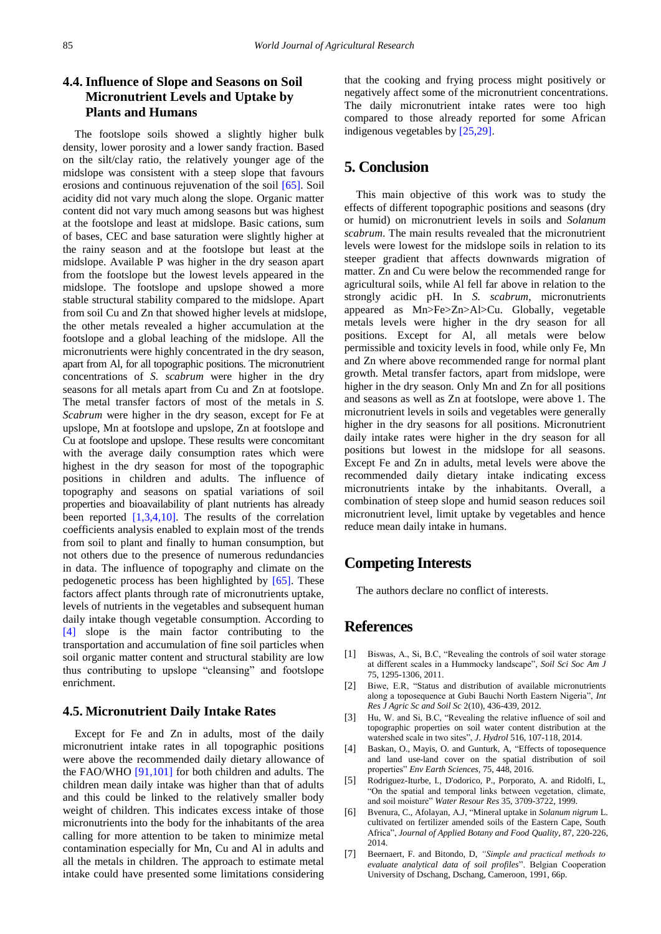# **4.4. Influence of Slope and Seasons on Soil Micronutrient Levels and Uptake by Plants and Humans**

The footslope soils showed a slightly higher bulk density, lower porosity and a lower sandy fraction. Based on the silt/clay ratio, the relatively younger age of the midslope was consistent with a steep slope that favours erosions and continuous rejuvenation of the soil [\[65\].](#page-14-6) Soil acidity did not vary much along the slope. Organic matter content did not vary much among seasons but was highest at the footslope and least at midslope. Basic cations, sum of bases, CEC and base saturation were slightly higher at the rainy season and at the footslope but least at the midslope. Available P was higher in the dry season apart from the footslope but the lowest levels appeared in the midslope. The footslope and upslope showed a more stable structural stability compared to the midslope. Apart from soil Cu and Zn that showed higher levels at midslope, the other metals revealed a higher accumulation at the footslope and a global leaching of the midslope. All the micronutrients were highly concentrated in the dry season, apart from Al, for all topographic positions. The micronutrient concentrations of *S. scabrum* were higher in the dry seasons for all metals apart from Cu and Zn at footslope. The metal transfer factors of most of the metals in *S. Scabrum* were higher in the dry season, except for Fe at upslope, Mn at footslope and upslope, Zn at footslope and Cu at footslope and upslope. These results were concomitant with the average daily consumption rates which were highest in the dry season for most of the topographic positions in children and adults. The influence of topography and seasons on spatial variations of soil properties and bioavailability of plant nutrients has already been reported [\[1,3,4,10\].](#page-12-0) The results of the correlation coefficients analysis enabled to explain most of the trends from soil to plant and finally to human consumption, but not others due to the presence of numerous redundancies in data. The influence of topography and climate on the pedogenetic process has been highlighted by [\[65\].](#page-14-6) These factors affect plants through rate of micronutrients uptake, levels of nutrients in the vegetables and subsequent human daily intake though vegetable consumption. According to [\[4\]](#page-12-4) slope is the main factor contributing to the transportation and accumulation of fine soil particles when soil organic matter content and structural stability are low thus contributing to upslope "cleansing" and footslope enrichment.

### **4.5. Micronutrient Daily Intake Rates**

Except for Fe and Zn in adults, most of the daily micronutrient intake rates in all topographic positions were above the recommended daily dietary allowance of the FAO/WHO [\[91,101\]](#page-14-24) for both children and adults. The children mean daily intake was higher than that of adults and this could be linked to the relatively smaller body weight of children. This indicates excess intake of those micronutrients into the body for the inhabitants of the area calling for more attention to be taken to minimize metal contamination especially for Mn, Cu and Al in adults and all the metals in children. The approach to estimate metal intake could have presented some limitations considering

that the cooking and frying process might positively or negatively affect some of the micronutrient concentrations. The daily micronutrient intake rates were too high compared to those already reported for some African indigenous vegetables by [\[25,29\].](#page-13-25)

# **5. Conclusion**

This main objective of this work was to study the effects of different topographic positions and seasons (dry or humid) on micronutrient levels in soils and *Solanum scabrum*. The main results revealed that the micronutrient levels were lowest for the midslope soils in relation to its steeper gradient that affects downwards migration of matter. Zn and Cu were below the recommended range for agricultural soils, while Al fell far above in relation to the strongly acidic pH. In *S. scabrum*, micronutrients appeared as Mn>Fe>Zn>Al>Cu. Globally, vegetable metals levels were higher in the dry season for all positions. Except for Al, all metals were below permissible and toxicity levels in food, while only Fe, Mn and Zn where above recommended range for normal plant growth. Metal transfer factors, apart from midslope, were higher in the dry season. Only Mn and Zn for all positions and seasons as well as Zn at footslope, were above 1. The micronutrient levels in soils and vegetables were generally higher in the dry seasons for all positions. Micronutrient daily intake rates were higher in the dry season for all positions but lowest in the midslope for all seasons. Except Fe and Zn in adults, metal levels were above the recommended daily dietary intake indicating excess micronutrients intake by the inhabitants. Overall, a combination of steep slope and humid season reduces soil micronutrient level, limit uptake by vegetables and hence reduce mean daily intake in humans.

# **Competing Interests**

The authors declare no conflict of interests.

# **References**

- <span id="page-12-0"></span>[1] Biswas, A., Si, B.C, "Revealing the controls of soil water storage at different scales in a Hummocky landscape", *Soil Sci Soc Am J* 75, 1295-1306, 2011.
- <span id="page-12-3"></span>[2] Biwe, E.R, "Status and distribution of available micronutrients along a toposequence at Gubi Bauchi North Eastern Nigeria", *Int Res J Agric Sc and Soil Sc* 2(10), 436-439, 2012.
- [3] Hu, W. and Si, B.C, "Revealing the relative influence of soil and topographic properties on soil water content distribution at the watershed scale in two sites", *J. Hydrol* 516, 107-118, 2014.
- <span id="page-12-4"></span>[4] Baskan, O., Mayis, O. and Gunturk, A, "Effects of toposequence and land use-land cover on the spatial distribution of soil properties" *Env Earth Sciences,* 75, 448, 2016.
- <span id="page-12-1"></span>[5] Rodriguez-Iturbe, I., D'odorico, P., Porporato, A. and Ridolfi, L, "On the spatial and temporal links between vegetation, climate, and soil moisture" *Water Resour Res* 35, 3709-3722, 1999.
- [6] Bvenura, C., Afolayan, A.J, "Mineral uptake in *Solanum nigrum* L. cultivated on fertilizer amended soils of the Eastern Cape, South Africa", *Journal of Applied Botany and Food Quality,* 87, 220-226, 2014.
- <span id="page-12-2"></span>[7] Beernaert, F. and Bitondo, D, *"Simple and practical methods to evaluate analytical data of soil profiles*". Belgian Cooperation University of Dschang, Dschang, Cameroon, 1991, 66p.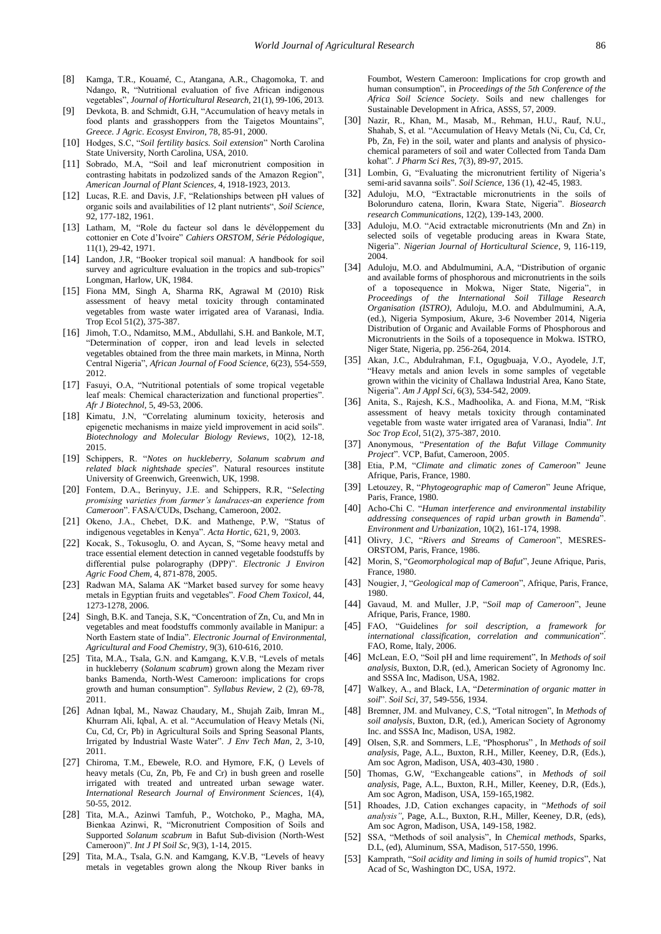- <span id="page-13-6"></span>[8] Kamga, T.R., Kouamé, C., Atangana, A.R., Chagomoka, T. and Ndango, R, "Nutritional evaluation of five African indigenous vegetables", *Journal of Horticultural Research,* 21(1), 99-106, 2013.
- <span id="page-13-0"></span>[9] Devkota, B. and Schmidt, G.H, "Accumulation of heavy metals in food plants and grasshoppers from the Taigetos Mountains", *Greece. J Agric. Ecosyst Environ,* 78, 85-91, 2000.
- <span id="page-13-26"></span>[10] Hodges, S.C, "*Soil fertility basics. Soil extension*" North Carolina State University, North Carolina, USA, 2010.
- [11] Sobrado, M.A, "Soil and leaf micronutrient composition in contrasting habitats in podzolized sands of the Amazon Region", *American Journal of Plant Sciences,* 4, 1918-1923, 2013.
- <span id="page-13-1"></span>[12] Lucas, R.E. and Davis, J.F, "Relationships between pH values of organic soils and availabilities of 12 plant nutrients", *Soil Science*, 92, 177-182, 1961.
- [13] Latham, M, "Role du facteur sol dans le dévéloppement du cottonier en Cote d'Ivoire" *Cahiers ORSTOM, Série Pédologique*, 11(1), 29-42, 1971.
- <span id="page-13-30"></span>[14] Landon, J.R, "Booker tropical soil manual: A handbook for soil survey and agriculture evaluation in the tropics and sub-tropics" Longman, Harlow, UK, 1984.
- <span id="page-13-29"></span>[15] Fiona MM, Singh A, Sharma RK, Agrawal M (2010) Risk assessment of heavy metal toxicity through contaminated vegetables from waste water irrigated area of Varanasi, India. Trop Ecol 51(2), 375-387.
- <span id="page-13-4"></span>[16] Jimoh, T.O., Ndamitso, M.M., Abdullahi, S.H. and Bankole, M.T, "Determination of copper, iron and lead levels in selected vegetables obtained from the three main markets, in Minna, North Central Nigeria", *African Journal of Food Science,* 6(23), 554-559, 2012.
- <span id="page-13-2"></span>[17] Fasuyi, O.A, "Nutritional potentials of some tropical vegetable leaf meals: Chemical characterization and functional properties". *Afr J Biotechnol,* 5, 49-53, 2006.
- [18] Kimatu, J.N, "Correlating aluminum toxicity, heterosis and epigenetic mechanisms in maize yield improvement in acid soils". *Biotechnology and Molecular Biology Reviews*, 10(2), 12-18, 2015.
- <span id="page-13-3"></span>[19] Schippers, R. "*Notes on huckleberry, Solanum scabrum and related black nightshade species*". Natural resources institute University of Greenwich, Greenwich, UK, 1998.
- [20] Fontem, D.A., Berinyuy, J.E. and Schippers, R.R, "*Selecting promising varieties from farmer's landraces-an experience from Cameroon*". FASA/CUDs, Dschang, Cameroon, 2002.
- [21] Okeno, J.A., Chebet, D.K. and Mathenge, P.W, "Status of indigenous vegetables in Kenya". *Acta Hortic*, 621, 9, 2003.
- [22] Kocak, S., Tokusoglu, O. and Aycan, S, "Some heavy metal and trace essential element detection in canned vegetable foodstuffs by differential pulse polarography (DPP)". *Electronic J Environ Agric Food Chem*, 4, 871-878, 2005.
- [23] Radwan MA, Salama AK "Market based survey for some heavy metals in Egyptian fruits and vegetables". *Food Chem Toxicol,* 44, 1273-1278, 2006.
- [24] Singh, B.K. and Taneja, S.K. "Concentration of Zn, Cu, and Mn in vegetables and meat foodstuffs commonly available in Manipur: a North Eastern state of India". *Electronic Journal of Environmental, Agricultural and Food Chemistry,* 9(3), 610-616, 2010.
- <span id="page-13-25"></span>[25] Tita, M.A., Tsala, G.N. and Kamgang, K.V.B, "Levels of metals in huckleberry (*Solanum scabrum*) grown along the Mezam river banks Bamenda, North-West Cameroon: implications for crops growth and human consumption". *Syllabus Review,* 2 (2), 69-78, 2011.
- [26] Adnan Iqbal, M., Nawaz Chaudary, M., Shujah Zaib, Imran M., Khurram Ali, Iqbal, A. et al. "Accumulation of Heavy Metals (Ni, Cu, Cd, Cr, Pb) in Agricultural Soils and Spring Seasonal Plants, Irrigated by Industrial Waste Water". *J Env Tech Man*, 2, 3-10, 2011.
- <span id="page-13-27"></span>[27] Chiroma, T.M., Ebewele, R.O. and Hymore, F.K, () Levels of heavy metals (Cu, Zn, Pb, Fe and Cr) in bush green and roselle irrigated with treated and untreated urban sewage water. *International Research Journal of Environment Sciences*, 1(4), 50-55, 2012.
- [28] Tita, M.A., Azinwi Tamfuh, P., Wotchoko, P., Magha, MA, Bienkaa Azinwi, R, "Micronutrient Composition of Soils and Supported *Solanum scabrum* in Bafut Sub-division (North-West Cameroon)". *Int J Pl Soil Sc*, 9(3), 1-14, 2015.
- <span id="page-13-24"></span>[29] Tita, M.A., Tsala, G.N. and Kamgang, K.V.B, "Levels of heavy metals in vegetables grown along the Nkoup River banks in

Foumbot, Western Cameroon: Implications for crop growth and human consumption", in *Proceedings of the 5th Conference of the Africa Soil Science Society*. Soils and new challenges for Sustainable Development in Africa, ASSS, 57, 2009.

- [30] Nazir, R., Khan, M., Masab, M., Rehman, H.U., Rauf, N.U., Shahab, S, et al. "Accumulation of Heavy Metals (Ni, Cu, Cd, Cr, Pb, Zn, Fe) in the soil, water and plants and analysis of physicochemical parameters of soil and water Collected from Tanda Dam kohat". *J Pharm Sci Res*, 7(3), 89-97, 2015.
- <span id="page-13-5"></span>[31] Lombin, G, "Evaluating the micronutrient fertility of Nigeria's semi-arid savanna soils". *Soil Science,* 136 (1), 42-45, 1983.
- [32] Aduloju, M.O, "Extractable micronutrients in the soils of Bolorunduro catena, Ilorin, Kwara State, Nigeria". *Biosearch research Communications*, 12(2), 139-143, 2000.
- [33] Aduloju, M.O. "Acid extractable micronutrients (Mn and Zn) in selected soils of vegetable producing areas in Kwara State, Nigeria". *Nigerian Journal of Horticultural Science*, 9, 116-119, 2004.
- <span id="page-13-28"></span>[34] Aduloju, M.O. and Abdulmumini, A.A, "Distribution of organic and available forms of phosphorous and micronutrients in the soils of a toposequence in Mokwa, Niger State, Nigeria", in *Proceedings of the International Soil Tillage Research Organisation (ISTRO)*, Aduloju, M.O. and Abdulmumini, A.A, (ed.), Nigeria Symposium, Akure, 3-6 November 2014, Nigeria Distribution of Organic and Available Forms of Phosphorous and Micronutrients in the Soils of a toposequence in Mokwa. ISTRO, Niger State, Nigeria, pp. 256-264, 2014.
- [35] Akan, J.C., Abdulrahman, F.I., Ogugbuaja, V.O., Ayodele, J.T, "Heavy metals and anion levels in some samples of vegetable grown within the vicinity of Challawa Industrial Area, Kano State, Nigeria". *Am J Appl Sci*, 6(3), 534-542, 2009.
- [36] Anita, S., Rajesh, K.S., Madhoolika, A. and Fiona, M.M. "Risk assessment of heavy metals toxicity through contaminated vegetable from waste water irrigated area of Varanasi, India". *Int Soc Trop Ecol*, 51(2), 375-387, 2010.
- <span id="page-13-7"></span>[37] Anonymous, "*Presentation of the Bafut Village Community Project*". VCP, Bafut, Cameroon, 2005.
- <span id="page-13-8"></span>[38] Etia, P.M, "*Climate and climatic zones of Cameroon*" Jeune Afrique, Paris, France, 1980.
- <span id="page-13-9"></span>[39] Letouzey, R, "*Phytogeographic map of Cameron*" Jeune Afrique, Paris, France, 1980.
- <span id="page-13-10"></span>[40] Acho-Chi C. "*Human interference and environmental instability addressing consequences of rapid urban growth in Bamenda*". *Environment and Urbanization,* 10(2), 161-174, 1998.
- <span id="page-13-11"></span>[41] Olivry, J.C, "*Rivers and Streams of Cameroon*", MESRES-ORSTOM, Paris, France, 1986.
- <span id="page-13-12"></span>[42] Morin, S, "*Geomorphological map of Bafut*", Jeune Afrique, Paris, France, 1980.
- <span id="page-13-13"></span>[43] Nougier, J, "*Geological map of Cameroon*", Afrique, Paris, France, 1980.
- <span id="page-13-14"></span>[44] Gavaud, M. and Muller, J.P, "*Soil map of Cameroon*", Jeune Afrique, Paris, France, 1980.
- <span id="page-13-15"></span>[45] FAO, "Guidelines *for soil description, a framework for international classification, correlation and communication*".́ FAO, Rome, Italy, 2006.
- <span id="page-13-16"></span>[46] McLean, E.O, "Soil pH and lime requirement", In *Methods of soil analysis*, Buxton, D.R, (ed.), American Society of Agronomy Inc. and SSSA Inc, Madison, USA, 1982.
- <span id="page-13-17"></span>[47] Walkey, A., and Black, I.A, "*Determination of organic matter in soil*". *Soil Sci*, 37, 549-556, 1934.
- <span id="page-13-18"></span>[48] Bremner, JM. and Mulvaney, C.S, "Total nitrogen", In *Methods of soil analysis*, Buxton, D.R, (ed.), American Society of Agronomy Inc. and SSSA Inc, Madison, USA, 1982.
- <span id="page-13-19"></span>[49] Olsen, S,R. and Sommers, L.E, "Phosphorus" , In *Methods of soil analysis*, Page, A.L., Buxton, R.H., Miller, Keeney, D.R, (Eds.), Am soc Agron, Madison, USA, 403-430, 1980 .
- <span id="page-13-20"></span>[50] Thomas, G.W, "Exchangeable cations", in *Methods of soil analysis*, Page, A.L., Buxton, R.H., Miller, Keeney, D.R, (Eds.), Am soc Agron, Madison, USA, 159-165,1982.
- <span id="page-13-21"></span>[51] Rhoades, J.D, Cation exchanges capacity, in "*Methods of soil analysis"*, Page, A.L., Buxton, R.H., Miller, Keeney, D.R, (eds), Am soc Agron, Madison, USA, 149-158, 1982.
- <span id="page-13-22"></span>[52] SSA, "Methods of soil analysis", In *Chemical methods*, Sparks, D.L, (ed), Aluminum, SSA, Madison, 517-550, 1996.
- <span id="page-13-23"></span>[53] Kamprath, "*Soil acidity and liming in soils of humid tropics*", Nat Acad of Sc, Washington DC, USA, 1972.